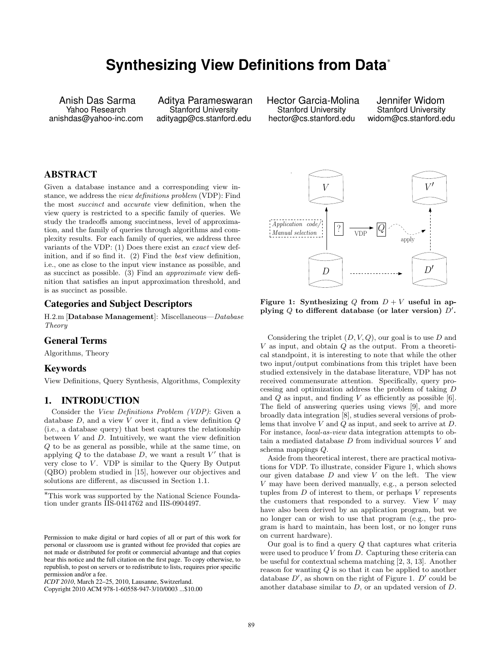# **Synthesizing View Definitions from Data**<sup>∗</sup>

Anish Das Sarma Yahoo Research anishdas@yahoo-inc.com

Aditya Parameswaran Stanford University adityagp@cs.stanford.edu

Hector Garcia-Molina Stanford University hector@cs.stanford.edu

Jennifer Widom Stanford University widom@cs.stanford.edu

# ABSTRACT

Given a database instance and a corresponding view instance, we address the view definitions problem (VDP): Find the most succinct and accurate view definition, when the view query is restricted to a specific family of queries. We study the tradeoffs among succintness, level of approximation, and the family of queries through algorithms and complexity results. For each family of queries, we address three variants of the VDP: (1) Does there exist an exact view definition, and if so find it. (2) Find the best view definition, i.e., one as close to the input view instance as possible, and as succinct as possible. (3) Find an approximate view definition that satisfies an input approximation threshold, and is as succinct as possible.

# Categories and Subject Descriptors

H.2.m [Database Management]: Miscellaneous—Database Theory

# General Terms

Algorithms, Theory

#### Keywords

View Definitions, Query Synthesis, Algorithms, Complexity

# 1. INTRODUCTION

Consider the View Definitions Problem (VDP): Given a database  $D$ , and a view  $V$  over it, find a view definition  $Q$ (i.e., a database query) that best captures the relationship between  $V$  and  $D$ . Intuitively, we want the view definition Q to be as general as possible, while at the same time, on applying  $Q$  to the database  $D$ , we want a result  $V'$  that is very close to  $V$ . VDP is similar to the Query By Output (QBO) problem studied in [15], however our objectives and solutions are different, as discussed in Section 1.1.



Figure 1: Synthesizing Q from  $D + V$  useful in applying  $Q$  to different database (or later version)  $D'$ .

Considering the triplet  $(D, V, Q)$ , our goal is to use D and  $V$  as input, and obtain  $Q$  as the output. From a theoretical standpoint, it is interesting to note that while the other two input/output combinations from this triplet have been studied extensively in the database literature, VDP has not received commensurate attention. Specifically, query processing and optimization address the problem of taking D and  $Q$  as input, and finding  $V$  as efficiently as possible [6]. The field of answering queries using views [9], and more broadly data integration [8], studies several versions of problems that involve  $V$  and  $Q$  as input, and seek to arrive at  $D$ . For instance, local-as-view data integration attempts to obtain a mediated database D from individual sources V and schema mappings Q.

Aside from theoretical interest, there are practical motivations for VDP. To illustrate, consider Figure 1, which shows our given database  $D$  and view  $V$  on the left. The view V may have been derived manually, e.g., a person selected tuples from  $D$  of interest to them, or perhaps  $V$  represents the customers that responded to a survey. View  $V$  may have also been derived by an application program, but we no longer can or wish to use that program (e.g., the program is hard to maintain, has been lost, or no longer runs on current hardware).

Our goal is to find a query Q that captures what criteria were used to produce  $V$  from  $D$ . Capturing these criteria can be useful for contextual schema matching [2, 3, 13]. Another reason for wanting  $Q$  is so that it can be applied to another database  $D'$ , as shown on the right of Figure 1.  $D'$  could be another database similar to D, or an updated version of D.

<sup>∗</sup>This work was supported by the National Science Foundation under grants IIS-0414762 and IIS-0904497.

Permission to make digital or hard copies of all or part of this work for personal or classroom use is granted without fee provided that copies are not made or distributed for profit or commercial advantage and that copies bear this notice and the full citation on the first page. To copy otherwise, to republish, to post on servers or to redistribute to lists, requires prior specific permission and/or a fee.

*ICDT 2010*, March 22–25, 2010, Lausanne, Switzerland.

Copyright 2010 ACM 978-1-60558-947-3/10/0003 ...\$10.00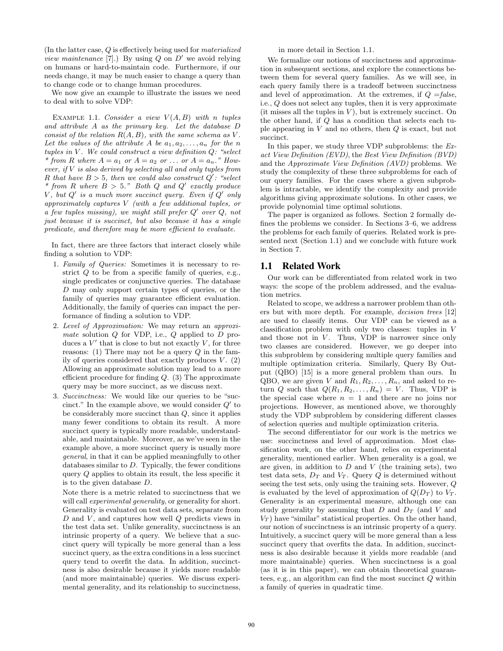(In the latter case, Q is effectively being used for materialized view maintenance [7].) By using  $Q$  on  $D'$  we avoid relying on humans or hard-to-maintain code. Furthermore, if our needs change, it may be much easier to change a query than to change code or to change human procedures.

We now give an example to illustrate the issues we need to deal with to solve VDP:

EXAMPLE 1.1. Consider a view  $V(A, B)$  with n tuples and attribute A as the primary key. Let the database D consist of the relation  $R(A, B)$ , with the same schema as V. Let the values of the attribute A be  $a_1, a_2, \ldots, a_n$  for the n tuples in  $V$ . We could construct a view definition  $Q$ : "select \* from R where  $A = a_1$  or  $A = a_2$  or ... or  $A = a_n$ ." However, if V is also derived by selecting all and only tuples from R that have  $B > 5$ , then we could also construct  $Q'$ : "select \* from R where  $B > 5$ ." Both Q and Q' exactly produce  $V$ , but  $Q'$  is a much more succinct query. Even if  $Q'$  only approximately captures V (with a few additional tuples, or a few tuples missing), we might still prefer  $Q'$  over  $Q$ , not just because it is succinct, but also because it has a single predicate, and therefore may be more efficient to evaluate.

In fact, there are three factors that interact closely while finding a solution to VDP:

- 1. Family of Queries: Sometimes it is necessary to restrict Q to be from a specific family of queries, e.g., single predicates or conjunctive queries. The database D may only support certain types of queries, or the family of queries may guarantee efficient evaluation. Additionally, the family of queries can impact the performance of finding a solution to VDP.
- 2. Level of Approximation: We may return an approximate solution  $Q$  for VDP, i.e.,  $Q$  applied to  $D$  produces a  $V'$  that is close to but not exactly  $V$ , for three reasons: (1) There may not be a query  $Q$  in the family of queries considered that exactly produces  $V$ . (2) Allowing an approximate solution may lead to a more efficient procedure for finding  $Q$ . (3) The approximate query may be more succinct, as we discuss next.
- 3. Succinctness: We would like our queries to be "succinct." In the example above, we would consider  $Q'$  to be considerably more succinct than Q, since it applies many fewer conditions to obtain its result. A more succinct query is typically more readable, understandable, and maintainable. Moreover, as we've seen in the example above, a more succinct query is usually more general, in that it can be applied meaningfully to other databases similar to  $D$ . Typically, the fewer conditions query Q applies to obtain its result, the less specific it is to the given database D.

Note there is a metric related to succinctness that we will call *experimental generality*, or generality for short. Generality is evaluated on test data sets, separate from  $D$  and  $V$ , and captures how well  $Q$  predicts views in the test data set. Unlike generality, succinctness is an intrinsic property of a query. We believe that a succinct query will typically be more general than a less succinct query, as the extra conditions in a less succinct query tend to overfit the data. In addition, succinctness is also desirable because it yields more readable (and more maintainable) queries. We discuss experimental generality, and its relationship to succinctness, in more detail in Section 1.1.

We formalize our notions of succinctness and approximation in subsequent sections, and explore the connections between them for several query families. As we will see, in each query family there is a tradeoff between succinctness and level of approximation. At the extremes, if  $Q = false$ , i.e., Q does not select any tuples, then it is very approximate  $(i$ t misses all the tuples in  $V$ ), but is extremely succinct. On the other hand, if Q has a condition that selects each tuple appearing in V and no others, then Q is exact, but not succinct.

In this paper, we study three VDP subproblems: the Exact View Definition (EVD), the Best View Definition (BVD) and the Approximate View Definition (AVD) problems. We study the complexity of these three subproblems for each of our query families. For the cases where a given subproblem is intractable, we identify the complexity and provide algorithms giving approximate solutions. In other cases, we provide polynomial time optimal solutions.

The paper is organized as follows. Section 2 formally defines the problems we consider. In Sections 3–6, we address the problems for each family of queries. Related work is presented next (Section 1.1) and we conclude with future work in Section 7.

# 1.1 Related Work

Our work can be differentiated from related work in two ways: the scope of the problem addressed, and the evaluation metrics.

Related to scope, we address a narrower problem than others but with more depth. For example, decision trees [12] are used to classify items. Our VDP can be viewed as a classification problem with only two classes: tuples in V and those not in  $V$ . Thus, VDP is narrower since only two classes are considered. However, we go deeper into this subproblem by considering multiple query families and multiple optimization criteria. Similarly, Query By Output (QBO) [15] is a more general problem than ours. In QBO, we are given V and  $R_1, R_2, \ldots, R_n$ , and asked to return Q such that  $Q(R_1, R_2, \ldots, R_n) = V$ . Thus, VDP is the special case where  $n = 1$  and there are no joins nor projections. However, as mentioned above, we thoroughly study the VDP subproblem by considering different classes of selection queries and multiple optimization criteria.

The second differentiator for our work is the metrics we use: succinctness and level of approximation. Most classification work, on the other hand, relies on experimental generality, mentioned earlier. When generality is a goal, we are given, in addition to  $D$  and  $V$  (the training sets), two test data sets,  $D_T$  and  $V_T$ . Query Q is determined without seeing the test sets, only using the training sets. However, Q is evaluated by the level of approximation of  $Q(D_T)$  to  $V_T$ . Generality is an experimental measure, although one can study generality by assuming that  $D$  and  $D_T$  (and V and  $V_T$ ) have "similar" statistical properties. On the other hand, our notion of succinctness is an intrinsic property of a query. Intuitively, a succinct query will be more general than a less succinct query that overfits the data. In addition, succinctness is also desirable because it yields more readable (and more maintainable) queries. When succinctness is a goal (as it is in this paper), we can obtain theoretical guarantees, e.g., an algorithm can find the most succinct Q within a family of queries in quadratic time.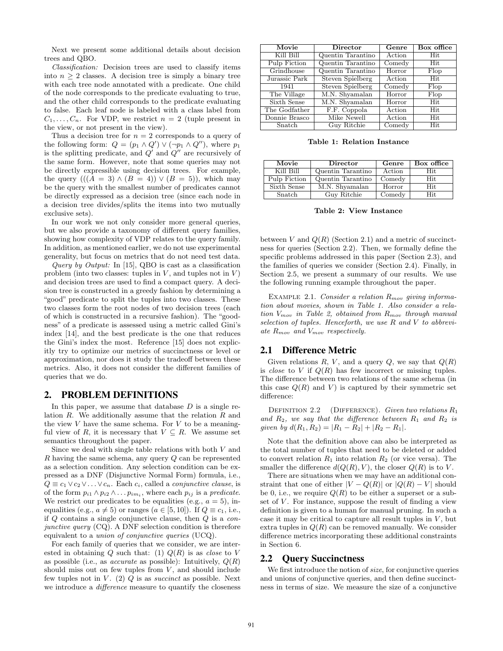Next we present some additional details about decision trees and QBO.

Classification: Decision trees are used to classify items into  $n > 2$  classes. A decision tree is simply a binary tree with each tree node annotated with a predicate. One child of the node corresponds to the predicate evaluating to true, and the other child corresponds to the predicate evaluating to false. Each leaf node is labeled with a class label from  $C_1, \ldots, C_n$ . For VDP, we restrict  $n = 2$  (tuple present in the view, or not present in the view).

Thus a decision tree for  $n = 2$  corresponds to a query of the following form:  $Q = (p_1 \wedge Q') \vee (\neg p_1 \wedge Q'')$ , where  $p_1$ is the splitting predicate, and  $Q'$  and  $Q''$  are recursively of the same form. However, note that some queries may not be directly expressible using decision trees. For example, the query  $(((A = 3) \wedge (B = 4)) \vee (B = 5))$ , which may be the query with the smallest number of predicates cannot be directly expressed as a decision tree (since each node in a decision tree divides/splits the items into two mutually exclusive sets).

In our work we not only consider more general queries, but we also provide a taxonomy of different query families, showing how complexity of VDP relates to the query family. In addition, as mentioned earlier, we do not use experimental generality, but focus on metrics that do not need test data.

Query by Output: In [15], QBO is cast as a classification problem (into two classes: tuples in  $V$ , and tuples not in  $V$ ) and decision trees are used to find a compact query. A decision tree is constructed in a greedy fashion by determining a "good" predicate to split the tuples into two classes. These two classes form the root nodes of two decision trees (each of which is constructed in a recursive fashion). The "goodness" of a predicate is assessed using a metric called Gini's index [14], and the best predicate is the one that reduces the Gini's index the most. Reference [15] does not explicitly try to optimize our metrics of succinctness or level or approximation, nor does it study the tradeoff between these metrics. Also, it does not consider the different families of queries that we do.

### 2. PROBLEM DEFINITIONS

In this paper, we assume that database  $D$  is a single relation  $R$ . We additionally assume that the relation  $R$  and the view  $V$  have the same schema. For  $V$  to be a meaningful view of R, it is necessary that  $V \subseteq R$ . We assume set semantics throughout the paper.

Since we deal with single table relations with both V and R having the same schema, any query Q can be represented as a selection condition. Any selection condition can be expressed as a DNF (Disjunctive Normal Form) formula, i.e.,  $Q \equiv c_1 \vee c_2 \vee \ldots \vee c_n$ . Each  $c_i$ , called a *conjunctive clause*, is of the form  $p_{i1} \wedge p_{i2} \wedge \ldots p_{im_i}$ , where each  $p_{ij}$  is a *predicate*. We restrict our predicates to be equalities (e.g.,  $a = 5$ ), inequalities (e.g.,  $a \neq 5$ ) or ranges ( $a \in [5, 10]$ ). If  $Q \equiv c_1$ , i.e., if  $Q$  contains a single conjunctive clause, then  $Q$  is a conjunctive query  $(CQ)$ . A DNF selection condition is therefore equivalent to a union of conjunctive queries (UCQ).

For each family of queries that we consider, we are interested in obtaining Q such that: (1)  $Q(R)$  is as *close* to V as possible (i.e., as *accurate* as possible): Intuitively,  $Q(R)$ should miss out on few tuples from  $V$ , and should include few tuples not in  $V$ . (2)  $Q$  is as *succinct* as possible. Next we introduce a difference measure to quantify the closeness

| Movie               | Director          | Genre  | Box office      |
|---------------------|-------------------|--------|-----------------|
| Kill Bill           | Quentin Tarantino | Action | H <sub>it</sub> |
| <b>Pulp Fiction</b> | Quentin Tarantino | Comedy | H <sub>it</sub> |
| Grindhouse          | Quentin Tarantino | Horror | Flop            |
| Jurassic Park       | Steven Spielberg  | Action | <b>Hit</b>      |
| 1941                | Steven Spielberg  | Comedy | Flop            |
| The Village         | M.N. Shyamalan    | Horror | Flop            |
| Sixth Sense         | M.N. Shyamalan    | Horror | <b>Hit</b>      |
| The Godfather       | F.F. Coppola      | Action | Hit             |
| Donnie Brasco       | Mike Newell       | Action | <b>Hit</b>      |
| Snatch              | Guy Ritchie       | Comedy | <b>Hit</b>      |

Table 1: Relation Instance

| Movie        | Director          | Genre  | <b>Box</b> office |  |
|--------------|-------------------|--------|-------------------|--|
| Kill Bill    | Quentin Tarantino | Action | Hit.              |  |
| Pulp Fiction | Quentin Tarantino | Comedy | Hit               |  |
| Sixth Sense  | M.N. Shyamalan    | Horror | Hit               |  |
| Snatch       | Guy Ritchie       | Comedy | Hit               |  |

Table 2: View Instance

between  $V$  and  $Q(R)$  (Section 2.1) and a metric of succinctness for queries (Section 2.2). Then, we formally define the specific problems addressed in this paper (Section 2.3), and the families of queries we consider (Section 2.4). Finally, in Section 2.5, we present a summary of our results. We use the following running example throughout the paper.

EXAMPLE 2.1. Consider a relation  $R_{mov}$  giving information about movies, shown in Table 1. Also consider a relation  $V_{mov}$  in Table 2, obtained from  $R_{mov}$  through manual selection of tuples. Henceforth, we use  $R$  and  $V$  to abbreviate  $R_{mov}$  and  $V_{mov}$  respectively.

#### 2.1 Difference Metric

Given relations  $R, V$ , and a query  $Q$ , we say that  $Q(R)$ is *close* to V if  $Q(R)$  has few incorrect or missing tuples. The difference between two relations of the same schema (in this case  $Q(R)$  and V) is captured by their symmetric set difference:

DEFINITION 2.2 (DIFFERENCE). Given two relations  $R_1$ and  $R_2$ , we say that the difference between  $R_1$  and  $R_2$  is given by  $d(R_1, R_2) = |R_1 - R_2| + |R_2 - R_1|$ .

Note that the definition above can also be interpreted as the total number of tuples that need to be deleted or added to convert relation  $R_1$  into relation  $R_2$  (or vice versa). The smaller the difference  $d(Q(R), V)$ , the closer  $Q(R)$  is to V.

There are situations when we may have an additional constraint that one of either  $|V - Q(R)|$  or  $|Q(R) - V|$  should be 0, i.e., we require  $Q(R)$  to be either a superset or a subset of  $V$ . For instance, suppose the result of finding a view definition is given to a human for manual pruning. In such a case it may be critical to capture all result tuples in  $V$ , but extra tuples in  $Q(R)$  can be removed manually. We consider difference metrics incorporating these additional constraints in Section 6.

# 2.2 Query Succinctness

We first introduce the notion of size, for conjunctive queries and unions of conjunctive queries, and then define succinctness in terms of size. We measure the size of a conjunctive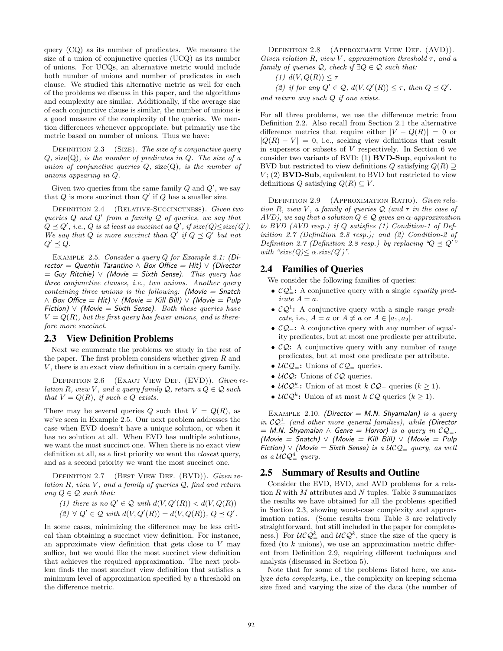query (CQ) as its number of predicates. We measure the size of a union of conjunctive queries (UCQ) as its number of unions. For UCQs, an alternative metric would include both number of unions and number of predicates in each clause. We studied this alternative metric as well for each of the problems we discuss in this paper, and the algorithms and complexity are similar. Additionally, if the average size of each conjunctive clause is similar, the number of unions is a good measure of the complexity of the queries. We mention differences whenever appropriate, but primarily use the metric based on number of unions. Thus we have:

DEFINITION 2.3 (SIZE). The size of a conjunctive query  $Q$ , size( $Q$ ), is the number of predicates in  $Q$ . The size of a union of conjunctive queries  $Q$ , size( $Q$ ), is the number of unions appearing in Q.

Given two queries from the same family  $Q$  and  $Q'$ , we say that  $Q$  is more succinct than  $Q'$  if  $Q$  has a smaller size.

DEFINITION 2.4 (RELATIVE-SUCCINCTNESS). Given two queries  $Q$  and  $Q'$  from a family  $Q$  of queries, we say that  $Q \preceq Q'$ , i.e., Q is at least as succinct as  $Q'$ , if size( $Q$ ) $\leq$ size( $Q'$ ). We say that Q is more succinct than  $Q'$  if  $Q \preceq Q'$  but not  $Q' \preceq Q$ .

Example 2.5. Consider a query Q for Example 2.1: (Director = Quentin Tarantino  $\land$  Box Office = Hit)  $\lor$  (Director  $=$  Guy Ritchie)  $\vee$  (Movie  $=$  Sixth Sense). This query has three conjunctive clauses, i.e., two unions. Another query containing three unions is the following: (Movie  $=$  Snatch  $\land$  Box Office = Hit)  $\lor$  (Movie = Kill Bill)  $\lor$  (Movie = Pulp Fiction)  $\vee$  (Movie = Sixth Sense). Both these queries have  $V = Q(R)$ , but the first query has fewer unions, and is therefore more succinct.

#### 2.3 View Definition Problems

Next we enumerate the problems we study in the rest of the paper. The first problem considers whether given  $R$  and  $V$ , there is an exact view definition in a certain query family.

DEFINITION 2.6 (EXACT VIEW DEF. (EVD)). Given relation R, view V, and a query family  $Q$ , return a  $Q \in \mathcal{Q}$  such that  $V = Q(R)$ , if such a Q exists.

There may be several queries Q such that  $V = Q(R)$ , as we've seen in Example 2.5. Our next problem addresses the case when EVD doesn't have a unique solution, or when it has no solution at all. When EVD has multiple solutions, we want the most succinct one. When there is no exact view definition at all, as a first priority we want the closest query, and as a second priority we want the most succinct one.

DEFINITION 2.7 (BEST VIEW DEF. (BVD)). Given relation  $R$ , view  $V$ , and a family of queries  $Q$ , find and return any  $Q \in \mathcal{Q}$  such that:

- (1) there is no  $Q' \in \mathcal{Q}$  with  $d(V, Q'(R)) < d(V, Q(R))$
- $(2) \ \forall \ Q' \in \mathcal{Q} \ with \ d(V, Q'(R)) = d(V, Q(R)), \ Q \preceq Q'.$

In some cases, minimizing the difference may be less critical than obtaining a succinct view definition. For instance, an approximate view definition that gets close to  $V$  may suffice, but we would like the most succinct view definition that achieves the required approximation. The next problem finds the most succinct view definition that satisfies a minimum level of approximation specified by a threshold on the difference metric.

DEFINITION 2.8 (APPROXIMATE VIEW DEF. (AVD)). Given relation R, view V, approximation threshold  $\tau$ , and a family of queries  $Q$ , check if  $\exists Q \in \mathcal{Q}$  such that:

$$
(1) d(V, Q(R)) \le \tau
$$

(2) if for any  $Q' \in \mathcal{Q}$ ,  $d(V, Q'(R)) \leq \tau$ , then  $Q \preceq Q'$ . and return any such Q if one exists.

For all three problems, we use the difference metric from Definition 2.2. Also recall from Section 2.1 the alternative difference metrics that require either  $|V - Q(R)| = 0$  or  $|Q(R) - V| = 0$ , i.e., seeking view definitions that result in supersets or subsets of  $V$  respectively. In Section 6 we consider two variants of BVD: (1) BVD-Sup, equivalent to BVD but restricted to view definitions Q satisfying  $Q(R) \supset$  $V$ ; (2) **BVD-Sub**, equivalent to BVD but restricted to view definitions Q satisfying  $Q(R) \subseteq V$ .

DEFINITION 2.9 (APPROXIMATION RATIO). Given relation R, view V, a family of queries  $Q$  (and  $\tau$  in the case of AVD), we say that a solution  $Q \in \mathcal{Q}$  gives an  $\alpha$ -approximation to BVD (AVD resp.) if Q satisfies (1) Condition-1 of Definition 2.7 (Definition 2.8 resp.); and (2) Condition-2 of Definition 2.7 (Definition 2.8 resp.) by replacing " $Q \preceq Q'$ " with "size( $Q$ ) $\leq \alpha$ .size( $Q'$ )".

# 2.4 Families of Queries

We consider the following families of queries:

- $\mathcal{CQ}^1_{=}$ : A conjunctive query with a single *equality pred*icate  $A = a$ .
- $\mathcal{CQ}^1$ : A conjunctive query with a single *range predi*cate, i.e.,  $A = a$  or  $A \neq a$  or  $A \in [a_1, a_2]$ .
- $\mathcal{CQ}_{\rightleftharpoons}$ : A conjunctive query with any number of equality predicates, but at most one predicate per attribute.
- $\mathcal{CQ}$ : A conjunctive query with any number of range predicates, but at most one predicate per attribute.
- $UCQ_{=}$ : Unions of  $CQ_{=}$  queries.
- $UCQ$ : Unions of  $CQ$  queries.
- $\mathcal{UCQ}^k_{=}\text{: Union of at most } k \mathcal{CQ}_=$  queries  $(k \geq 1)$ .
- $UCQ^k$ : Union of at most  $k CQ$  queries  $(k \geq 1)$ .

EXAMPLE 2.10. (Director  $=$  M.N. Shyamalan) is a query in  $CQ_{=}^{1}$  (and other more general families), while (Director  $= M.N.$  Shyamalan  $\wedge$  Genre  $=$  Horror) is a query in  $CQ_{=}$ . (Movie = Snatch)  $\vee$  (Movie = Kill Bill)  $\vee$  (Movie = Pulp Fiction)  $\vee$  (Movie = Sixth Sense) is a UCQ<sub>=</sub> query, as well as a  $\mathcal{UCQ}^4_{=}$  query.

# 2.5 Summary of Results and Outline

Consider the EVD, BVD, and AVD problems for a relation  $R$  with  $M$  attributes and  $N$  tuples. Table 3 summarizes the results we have obtained for all the problems specified in Section 2.3, showing worst-case complexity and approximation ratios. (Some results from Table 3 are relatively straightforward, but still included in the paper for completeness.) For  $\mathcal{UCQ}_{=}^k$  and  $\mathcal{UCQ}^k$ , since the size of the query is fixed (to  $k$  unions), we use an approximation metric different from Definition 2.9, requiring different techniques and analysis (discussed in Section 5).

Note that for some of the problems listed here, we analyze data complexity, i.e., the complexity on keeping schema size fixed and varying the size of the data (the number of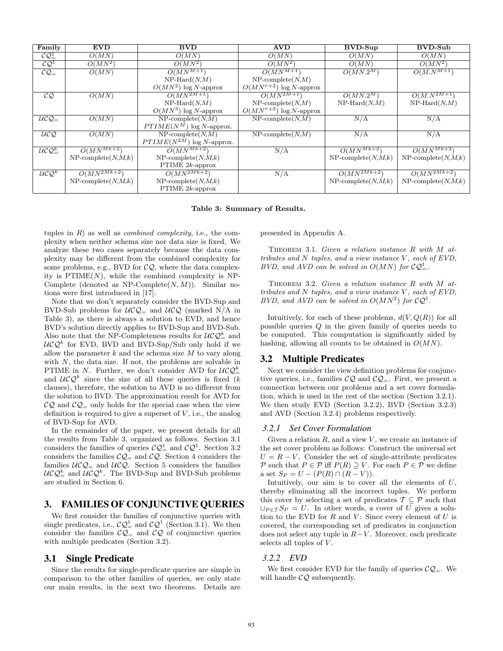| Family                      | <b>EVD</b>                 | <b>BVD</b>                              | <b>AVD</b>                      | BVD-Sup                    | <b>BVD-Sub</b>             |
|-----------------------------|----------------------------|-----------------------------------------|---------------------------------|----------------------------|----------------------------|
| $\mathcal{CQ}^1_{=}$        | O(MN)                      | O(MN)                                   | O(MN)                           | O(MN)                      | O(MN)                      |
| $\overline{\mathcal{CQ}}^1$ | $O(MN^2)$                  | $O(MN^2)$                               | $O(MN^2)$                       | O(MN)                      | $O(MN^2)$                  |
| $CQ_{\equiv}$               | O(MN)                      | $O(MN^{M+1})$                           | $\overline{O(MN^{M+1})}$        | $O(MN.2^M)$                | $O(\overline{M.N^{M+1}})$  |
|                             |                            | $NP\text{-}Hard(N,M)$                   | $NP$ -complete $(N,M)$          |                            |                            |
|                             |                            | $O(MN^2)$ log N-approx                  | $O(MN^{\tau+2}) \log N$ -approx |                            |                            |
| CO <sub>2</sub>             | O(MN)                      | $O(MN^{2M+1})$                          | $O(MN^{2M+1})$                  | $O(MN.2^M)$                | $\overline{O(M.N^{2M+1})}$ |
|                             |                            | $NP\text{-}Hard(N,M)$                   | $NP$ -complete $(N,M)$          | $NP\text{-}Hard(N,M)$      | $NP\text{-}Hard(N,M)$      |
|                             |                            | $O(MN^3)$ log N-approx                  | $O(MN^{\tau+3})$ log N-approx   |                            |                            |
| $UCQ_{=}$                   | O(MN)                      | $NP$ -complete $(N,M)$                  | $NP$ -complete $(N,M)$          | N/A                        | N/A                        |
|                             |                            | $PTIME(N^{\overline{M}})$ log N-approx. |                                 |                            |                            |
| UCQ                         | O(MN)                      | $\overline{\text{NP-complete}(N,M)}$    | $NP$ -complete $(N,M)$          | N/A                        | N/A                        |
|                             |                            | $PTIME(N^{2M})$ log N-approx.           |                                 |                            |                            |
| $\mathcal{UCQ}^k_{=}$       | $\overline{O(MN^{Mk+2})}$  | $\overline{O(MN^{Mk+2})}$               | N/A                             | $O(MN^{Mk+2})$             | $\overline{O(MN^{Mk+2})}$  |
|                             | $NP$ -complete $(N, M, k)$ | $NP-complete(N, M, k)$                  |                                 | $NP$ -complete $(N, M, k)$ | $NP$ -complete $(N, M, k)$ |
|                             |                            | PTIME $2k$ -approx                      |                                 |                            |                            |
| $\mathcal{UCQ}^k$           | $O(\overline{MN^{2Mk+2}})$ | $O(MN^{2Mk+2})$                         | N/A                             | $O(N\sqrt{N^{2Mk+2}})$     | $O(N\sqrt{N^{2Mk+2}})$     |
|                             | $NP$ -complete $(N, M, k)$ | $NP$ -complete $(N, M, k)$              |                                 | $NP$ -complete $(N, M, k)$ | $NP$ -complete $(N, M, k)$ |
|                             |                            | PTIME $2k$ -approx                      |                                 |                            |                            |

Table 3: Summary of Results.

tuples in  $R$ ) as well as *combined complexity*, i.e., the complexity when neither schema size nor data size is fixed. We analyze these two cases separately because the data complexity may be different from the combined complexity for some problems, e.g., BVD for  $CQ$ , where the data complexity is  $PTIME(N)$ , while the combined complexity is NP-Complete (denoted as  $NP-Complete(N, M)$ ). Similar notions were first introduced in [17].

Note that we don't separately consider the BVD-Sup and BVD-Sub problems for  $U C Q$  and  $U C Q$  (marked N/A in Table 3), as there is always a solution to EVD, and hence BVD's solution directly applies to BVD-Sup and BVD-Sub. Also note that the NP-Completeness results for  $\mathcal{UCQ}^k_-$  and  $\mathcal{UCQ}^k$  for EVD, BVD and BVD-Sup/Sub only hold if we allow the parameter  $k$  and the schema size  $M$  to vary along with  $N$ , the data size. If not, the problems are solvable in PTIME in N. Further, we don't consider AVD for  $\mathcal{UCQ}_{=}^k$ and  $\mathcal{UCQ}^k$  since the size of all these queries is fixed (k clauses), therefore, the solution to AVD is no different from the solution to BVD. The approximation result for AVD for  $\mathcal{CQ}$  and  $\mathcal{CQ}_=$  only holds for the special case when the view definition is required to give a superset of  $V$ , i.e., the analog of BVD-Sup for AVD.

In the remainder of the paper, we present details for all the results from Table 3, organized as follows. Section 3.1 considers the families of queries  $\mathcal{CQ}^1$  and  $\mathcal{CQ}^1$ . Section 3.2 considers the families  $CQ_{=}$  and  $CQ$ . Section 4 considers the families  $UCQ$ <sub>=</sub> and  $UCQ$ . Section 5 considers the families  $\mathcal{UCQ}^k_-$  and  $\mathcal{UCQ}^k$ . The BVD-Sup and BVD-Sub problems are studied in Section 6.

# 3. FAMILIES OF CONJUNCTIVE QUERIES

We first consider the families of conjunctive queries with single predicates, i.e.,  $CQ_{=}^1$  and  $CQ^1$  (Section 3.1). We then consider the families  $CQ_{\equiv}$  and  $CQ$  of conjunctive queries with multiple predicates (Section 3.2).

# 3.1 Single Predicate

Since the results for single-predicate queries are simple in comparison to the other families of queries, we only state our main results, in the next two theorems. Details are presented in Appendix A.

THEOREM 3.1. Given a relation instance  $R$  with  $M$  attributes and  $N$  tuples, and a view instance  $V$ , each of  $EVD$ , BVD, and AVD can be solved in  $O(MN)$  for  $CQ^1$ .

THEOREM 3.2. Given a relation instance  $R$  with  $M$  attributes and  $N$  tuples, and a view instance  $V$ , each of  $EVD$ , BVD, and AVD can be solved in  $O(MN^2)$  for  $CQ^1$ .

Intuitively, for each of these problems,  $d(V, Q(R))$  for all possible queries Q in the given family of queries needs to be computed. This computation is significantly aided by hashing, allowing all counts to be obtained in  $O(MN)$ .

# 3.2 Multiple Predicates

Next we consider the view definition problems for conjunctive queries, i.e., families  $CQ$  and  $CQ_{=}$ . First, we present a connection between our problems and a set cover formulation, which is used in the rest of the section (Section 3.2.1). We then study EVD (Section 3.2.2), BVD (Section 3.2.3) and AVD (Section 3.2.4) problems respectively.

#### *3.2.1 Set Cover Formulation*

Given a relation  $R$ , and a view  $V$ , we create an instance of the set cover problem as follows: Construct the universal set  $U = R - V$ . Consider the set of single-attribute predicates P such that  $P \in \mathcal{P}$  iff  $P(R) \supseteq V$ . For each  $P \in \mathcal{P}$  we define a set  $S_P = U - (P(R) \cap (R - V)).$ 

Intuitively, our aim is to cover all the elements of  $U$ , thereby eliminating all the incorrect tuples. We perform this cover by selecting a set of predicates  $\mathcal{T} \subseteq \mathcal{P}$  such that  $\bigcup_{P \in \mathcal{T}} S_P = U$ . In other words, a cover of U gives a solution to the EVD for  $R$  and  $V$ : Since every element of  $U$  is covered, the corresponding set of predicates in conjunction does not select any tuple in  $R-V$ . Moreover, each predicate selects all tuples of  $V$ .

#### *3.2.2 EVD*

We first consider EVD for the family of queries  $\mathcal{CQ}_=$ . We will handle  $CQ$  subsequently.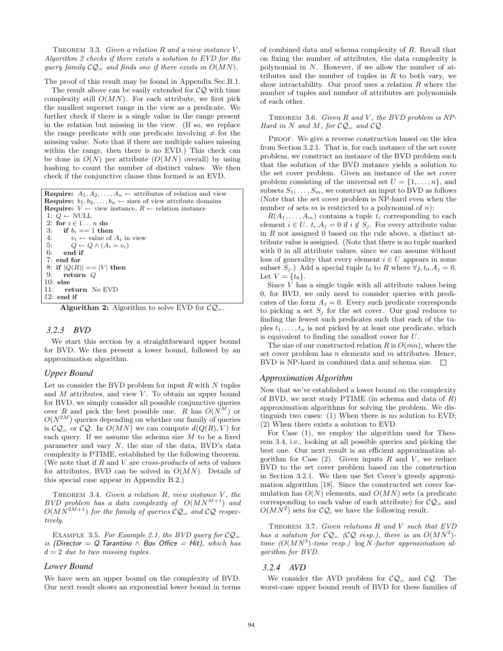THEOREM 3.3. Given a relation  $R$  and a view instance  $V$ , Algorithm 2 checks if there exists a solution to EVD for the query family  $CQ_{\equiv}$  and finds one if there exists in  $O(MN)$ .

The proof of this result may be found in Appendix Sec.B.1.

The result above can be easily extended for  $CQ$  with time complexity still  $O(MN)$ . For each attribute, we first pick the smallest superset range in the view as a predicate. We further check if there is a single value in the range present in the relation but missing in the view. (If so, we replace the range predicate with one predicate involving  $\neq$  for the missing value. Note that if there are multiple values missing within the range, then there is no EVD.) This check can be done in  $O(N)$  per attribute  $(O(MN)$  overall) by using hashing to count the number of distinct values. We then check if the conjunctive clause thus formed is an EVD.

**Require:**  $A_1, A_2, \ldots, A_n \leftarrow$  attributes of relation and view **Require:**  $b_1, b_2, \ldots, b_n \leftarrow$  sizes of view attribute domains **Require:**  $V \leftarrow$  view instance,  $R \leftarrow$  relation instance 1:  $Q \leftarrow \text{NULL}$ 2: for  $i \in 1 \ldots n$  do 3: if  $b_i == 1$  then 4:  $v_i \leftarrow$  value of  $A_i$  in view<br>5:  $Q \leftarrow Q \land (A_i = v_i)$ 5:  $Q \leftarrow Q \wedge (A_i = v_i)$ <br>6: end if 6: end if 7: end for 8: if  $|Q(R)| == |V|$  then 9: return Q 10: else 11: return No EVD 12: end if

Algorithm 2: Algorithm to solve EVD for  $CQ_{=}$ .

#### *3.2.3 BVD*

We start this section by a straightforward upper bound for BVD. We then present a lower bound, followed by an approximation algorithm.

### *Upper Bound*

Let us consider the BVD problem for input  $R$  with  $N$  tuples and  $M$  attributes, and view  $V$ . To obtain an upper bound for BVD, we simply consider all possible conjunctive queries over R and pick the best possible one. R has  $O(N^M)$  or  $O(N^{2M})$  queries depending on whether our family of queries is  $CQ_{\equiv}$  or  $CQ$ . In  $O(MN)$  we can compute  $d(Q(R), V)$  for each query. If we assume the schema size  $M$  to be a fixed parameter and vary N, the size of the data, BVD's data complexity is PTIME, established by the following theorem. (We note that if  $R$  and  $V$  are cross-products of sets of values for attributes, BVD can be solved in  $O(MN)$ . Details of this special case appear in Appendix B.2.)

THEOREM 3.4. Given a relation  $R$ , view instance  $V$ , the BVD problem has a data complexity of  $O(MN^{M+1})$  and  $O(MN^{2M+1})$  for the family of queries  $\mathcal{CQ}_=$  and  $\mathcal{CQ}$  respectively.

EXAMPLE 3.5. For Example 2.1, the BVD query for  $CQ$ is (Director = Q.Tarantino  $\land$  Box Office = Hit), which has  $d = 2$  due to two missing tuples.

### *Lower Bound*

We have seen an upper bound on the complexity of BVD. Our next result shows an exponential lower bound in terms of combined data and schema complexity of R. Recall that on fixing the number of attributes, the data complexity is polynomial in N. However, if we allow the number of attributes and the number of tuples in  $R$  to both vary, we show intractability. Our proof uses a relation  $R$  where the number of tuples and number of attributes are polynomials of each other.

THEOREM 3.6. Given  $R$  and  $V$ , the BVD problem is NP-Hard in N and M, for  $\mathcal{CQ}_=$  and  $\mathcal{CQ}$ .

PROOF. We give a reverse construction based on the idea from Section 3.2.1. That is, for each instance of the set cover problem, we construct an instance of the BVD problem such that the solution of the BVD instance yields a solution to the set cover problem. Given an instance of the set cover problem consisting of the universal set  $U = \{1, \ldots, n\}$ , and subsets  $S_1, \ldots, S_m$ , we construct an input to BVD as follows (Note that the set cover problem is NP-hard even when the number of sets  $m$  is restricted to a polynomial of  $n$ ):

 $R(A_1, \ldots, A_m)$  contains a tuple  $t_i$  corresponding to each element  $i \in U$ .  $t_i.A_j = 0$  if  $i \notin S_j$ . For every attribute value in R not assigned 0 based on the rule above, a distinct attribute value is assigned. (Note that there is no tuple marked with 0 in all attribute values, since we can assume without loss of generality that every element  $i \in U$  appears in some subset  $S_i$ .) Add a special tuple  $t_0$  to R where  $\forall j, t_0.A_j = 0$ . Let  $V = \{t_0\}.$ 

Since  $V$  has a single tuple with all attribute values being 0, for BVD, we only need to consider queries with predicates of the form  $A_j = 0$ . Every such predicate corresponds to picking a set  $S_j$  for the set cover. Our goal reduces to finding the fewest such predicates such that each of the tuples  $t_1, \ldots, t_n$  is not picked by at least one predicate, which is equivalent to finding the smallest cover for U.

The size of our constructed relation R is  $O(mn)$ , where the set cover problem has  $n$  elements and  $m$  attributes. Hence, BVD is NP-hard in combined data and schema size.  $\Box$ 

#### *Approximation Algorithm*

Now that we've established a lower bound on the complexity of BVD, we next study PTIME (in schema and data of  $R$ ) approximation algorithms for solving the problem. We distinguish two cases: (1) When there is no solution to EVD; (2) When there exists a solution to EVD.

For Case (1), we employ the algorithm used for Theorem 3.4, i.e., looking at all possible queries and picking the best one. Our next result is an efficient approximation algorithm for Case  $(2)$ . Given inputs R and V, we reduce BVD to the set cover problem based on the construction in Section 3.2.1. We then use Set Cover's greedy approximation algorithm [18]. Since the constructed set cover formulation has  $O(N)$  elements, and  $O(MN)$  sets (a predicate corresponding to each value of each attribute) for  $CQ_{=}$  and  $O(MN^2)$  sets for  $\mathcal{CQ}$ , we have the following result.

THEOREM 3.7. Given relations R and V such that EVD has a solution for  $CQ_{=}$  (CQ resp.), there is an  $O(MN^2)$ time  $(O(MN^3)$ -time resp.) log N-factor approximation algorithm for BVD.

#### *3.2.4 AVD*

We consider the AVD problem for  $CQ_{\equiv}$  and  $CQ$ . The worst-case upper bound result of BVD for these families of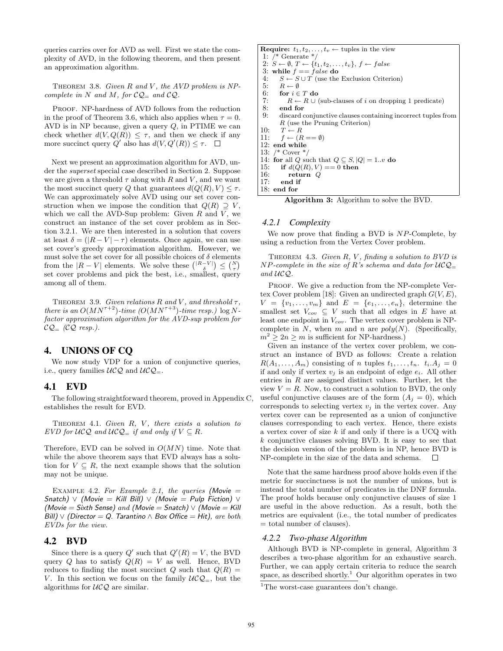queries carries over for AVD as well. First we state the complexity of AVD, in the following theorem, and then present an approximation algorithm.

THEOREM 3.8. Given  $R$  and  $V$ , the AVD problem is NPcomplete in N and M, for  $CQ_{=}$  and  $CQ$ .

PROOF. NP-hardness of AVD follows from the reduction in the proof of Theorem 3.6, which also applies when  $\tau = 0$ . AVD is in NP because, given a query Q, in PTIME we can check whether  $d(V, Q(R)) \leq \tau$ , and then we check if any more succinct query  $Q'$  also has  $d(V, Q'(R)) \leq \tau$ .

Next we present an approximation algorithm for AVD, under the superset special case described in Section 2. Suppose we are given a threshold  $\tau$  along with R and V, and we want the most succinct query Q that guarantees  $d(Q(R), V) \leq \tau$ . We can approximately solve AVD using our set cover construction when we impose the condition that  $Q(R) \supset V$ , which we call the AVD-Sup problem: Given  $R$  and  $V$ , we construct an instance of the set cover problem as in Section 3.2.1. We are then interested in a solution that covers at least  $\delta = (|R - V| - \tau)$  elements. Once again, we can use set cover's greedy approximation algorithm. However, we must solve the set cover for all possible choices of  $\delta$  elements from the  $|R - V|$  elements. We solve these  $\binom{|R - V|}{\delta} \leq \binom{N}{\tau}$ set cover problems and pick the best, i.e., smallest, query among all of them.

THEOREM 3.9. Given relations R and V, and threshold  $\tau$ , there is an  $O(MN^{\tau+2})$ -time  $(O(MN^{\tau+3})$ -time resp.) log Nfactor approximation algorithm for the AVD-sup problem for  $CQ_{-}$  (CQ resp.).

# 4. UNIONS OF CQ

We now study VDP for a union of conjunctive queries, i.e., query families  $UCQ$  and  $UCQ_{=}$ .

#### 4.1 EVD

The following straightforward theorem, proved in Appendix C, establishes the result for EVD.

THEOREM 4.1. Given  $R$ ,  $V$ , there exists a solution to EVD for  $UCQ$  and  $UCQ_{=}$  if and only if  $V \subseteq R$ .

Therefore, EVD can be solved in  $O(MN)$  time. Note that while the above theorem says that EVD always has a solution for  $V \subseteq R$ , the next example shows that the solution may not be unique.

EXAMPLE 4.2. For Example 2.1, the queries (Movie  $=$ Snatch)  $\vee$  (Movie = Kill Bill)  $\vee$  (Movie = Pulp Fiction)  $\vee$ (Movie = Sixth Sense) and (Movie = Snatch)  $\vee$  (Movie = Kill Bill)  $\vee$  (Director = Q. Tarantino  $\wedge$  Box Office = Hit), are both EVDs for the view.

# 4.2 BVD

Since there is a query  $Q'$  such that  $Q'(R) = V$ , the BVD query Q has to satisfy  $Q(R) = V$  as well. Hence, BVD reduces to finding the most succinct  $Q$  such that  $Q(R)$  = V. In this section we focus on the family  $U C Q_=$ , but the algorithms for  $UCQ$  are similar.

```
Require: t_1, t_2, \ldots, t_v \leftarrow tuples in the view
 1: /* Generate */
 2: S \leftarrow \emptyset, T \leftarrow \{t_1, t_2, \ldots, t_v\}, f \leftarrow false3: while f == false do<br>4: S ← S \cup T (use the
 4: S \leftarrow S \cup T (use the Exclusion Criterion)<br>5: R \leftarrow \emptyset5: R \leftarrow \emptyset<br>6: for i \infor i \in T do
 7: R \leftarrow R \cup (sub-clauses of i on dropping 1 predicate)<br>8: end for
 8: end for 9: discard \alphadiscard conjunctive clauses containing incorrect tuples from
         R (use the Pruning Criterion)
10: T \leftarrow R11: f \leftarrow (R == \emptyset)12: end while<br>13: /* Cover */* Cover *14: for all Q such that Q \subseteq S, |Q| = 1..v do
15: if d(Q(R), V) = 0 then
16: return Q
17: end if
18: end for
```
Algorithm 3: Algorithm to solve the BVD.

#### *4.2.1 Complexity*

We now prove that finding a BVD is NP-Complete, by using a reduction from the Vertex Cover problem.

THEOREM 4.3. Given  $R$ ,  $V$ , finding a solution to  $BVD$  is  $NP$ -complete in the size of R's schema and data for  $UCQ$ = and UCQ.

PROOF. We give a reduction from the NP-complete Vertex Cover problem [18]: Given an undirected graph  $G(V, E)$ ,  $V = \{v_1, \ldots, v_m\}$  and  $E = \{e_1, \ldots, e_n\}$ , determine the smallest set  $V_{cov} \subseteq V$  such that all edges in E have at least one endpoint in  $V_{cov}$ . The vertex cover problem is NPcomplete in  $N$ , when  $m$  and  $n$  are  $poly(N)$ . (Specifically,  $m^2 \geq 2n \geq m$  is sufficient for NP-hardness.)

Given an instance of the vertex cover problem, we construct an instance of BVD as follows: Create a relation  $R(A_1, \ldots, A_m)$  consisting of n tuples  $t_1, \ldots, t_n$ .  $t_i.A_j = 0$ if and only if vertex  $v_j$  is an endpoint of edge  $e_i$ . All other entries in  $R$  are assigned distinct values. Further, let the view  $V = R$ . Now, to construct a solution to BVD, the only useful conjunctive clauses are of the form  $(A_j = 0)$ , which corresponds to selecting vertex  $v_j$  in the vertex cover. Any vertex cover can be represented as a union of conjunctive clauses corresponding to each vertex. Hence, there exists a vertex cover of size  $k$  if and only if there is a UCQ with  $k$  conjunctive clauses solving BVD. It is easy to see that the decision version of the problem is in NP, hence BVD is NP-complete in the size of the data and schema.

Note that the same hardness proof above holds even if the metric for succinctness is not the number of unions, but is instead the total number of predicates in the DNF formula. The proof holds because only conjunctive clauses of size 1 are useful in the above reduction. As a result, both the metrics are equivalent (i.e., the total number of predicates = total number of clauses).

#### *4.2.2 Two-phase Algorithm*

Although BVD is NP-complete in general, Algorithm 3 describes a two-phase algorithm for an exhaustive search. Further, we can apply certain criteria to reduce the search space, as described shortly.<sup>1</sup> Our algorithm operates in two

<sup>&</sup>lt;sup>1</sup>The worst-case guarantees don't change.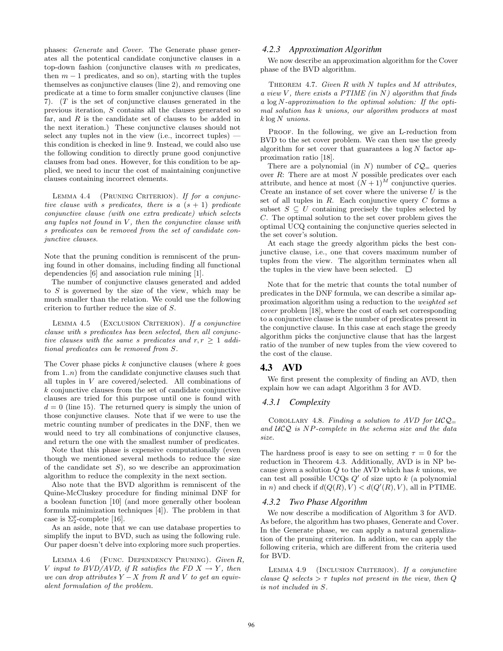phases: Generate and Cover. The Generate phase generates all the potentical candidate conjunctive clauses in a top-down fashion (conjunctive clauses with  $m$  predicates, then  $m-1$  predicates, and so on), starting with the tuples themselves as conjunctive clauses (line 2), and removing one predicate at a time to form smaller conjunctive clauses (line 7). (T is the set of conjunctive clauses generated in the previous iteration, S contains all the clauses generated so far, and R is the candidate set of clauses to be added in the next iteration.) These conjunctive clauses should not select any tuples not in the view (i.e., incorrect tuples) this condition is checked in line 9. Instead, we could also use the following condition to directly prune good conjunctive clauses from bad ones. However, for this condition to be applied, we need to incur the cost of maintaining conjunctive clauses containing incorrect elements.

LEMMA  $4.4$  (PRUNING CRITERION). If for a conjunctive clause with s predicates, there is a  $(s + 1)$  predicate conjunctive clause (with one extra predicate) which selects any tuples not found in  $V$ , then the conjunctive clause with s predicates can be removed from the set of candidate conjunctive clauses.

Note that the pruning condition is remniscent of the pruning found in other domains, including finding all functional dependencies [6] and association rule mining [1].

The number of conjunctive clauses generated and added to S is governed by the size of the view, which may be much smaller than the relation. We could use the following criterion to further reduce the size of S.

LEMMA  $4.5$  (EXCLUSION CRITERION). If a conjunctive clause with s predicates has been selected, then all conjunctive clauses with the same s predicates and  $r, r > 1$  additional predicates can be removed from S.

The Cover phase picks  $k$  conjunctive clauses (where  $k$  goes from  $1..n$ ) from the candidate conjunctive clauses such that all tuples in V are covered/selected. All combinations of k conjunctive clauses from the set of candidate conjunctive clauses are tried for this purpose until one is found with  $d = 0$  (line 15). The returned query is simply the union of those conjunctive clauses. Note that if we were to use the metric counting number of predicates in the DNF, then we would need to try all combinations of conjunctive clauses, and return the one with the smallest number of predicates.

Note that this phase is expensive computationally (even though we mentioned several methods to reduce the size of the candidate set  $S$ ), so we describe an approximation algorithm to reduce the complexity in the next section.

Also note that the BVD algorithm is remniscent of the Quine-McCluskey procedure for finding minimal DNF for a boolean function [10] (and more generally other boolean formula minimization techniques [4]). The problem in that case is  $\Sigma_2^p$ -complete [16].

As an aside, note that we can use database properties to simplify the input to BVD, such as using the following rule. Our paper doesn't delve into exploring more such properties.

LEMMA  $4.6$  (FUNC. DEPENDENCY PRUNING). Given R, V input to  $BVD/AVD$ , if R satisfies the FD  $X \to Y$ , then we can drop attributes  $Y - X$  from R and V to get an equivalent formulation of the problem.

#### *4.2.3 Approximation Algorithm*

We now describe an approximation algorithm for the Cover phase of the BVD algorithm.

THEOREM 4.7. Given  $R$  with  $N$  tuples and  $M$  attributes, a view V, there exists a PTIME (in N) algorithm that finds a log N-approximation to the optimal solution: If the optimal solution has k unions, our algorithm produces at most k log N unions.

PROOF. In the following, we give an L-reduction from BVD to the set cover problem. We can then use the greedy algorithm for set cover that guarantees a  $log N$  factor approximation ratio [18].

There are a polynomial (in N) number of  $CQ_{\equiv}$  queries over  $R$ : There are at most  $N$  possible predicates over each attribute, and hence at most  $(N+1)^M$  conjunctive queries. Create an instance of set cover where the universe  $U$  is the set of all tuples in  $R$ . Each conjunctive query  $C$  forms a subset  $S \subseteq U$  containing precisely the tuples selected by C. The optimal solution to the set cover problem gives the optimal UCQ containing the conjunctive queries selected in the set cover's solution.

At each stage the greedy algorithm picks the best conjunctive clause, i.e., one that covers maximum number of tuples from the view. The algorithm terminates when all the tuples in the view have been selected.  $\square$ 

Note that for the metric that counts the total number of predicates in the DNF formula, we can describe a similar approximation algorithm using a reduction to the weighted set cover problem [18], where the cost of each set corresponding to a conjunctive clause is the number of predicates present in the conjunctive clause. In this case at each stage the greedy algorithm picks the conjunctive clause that has the largest ratio of the number of new tuples from the view covered to the cost of the clause.

#### 4.3 AVD

We first present the complexity of finding an AVD, then explain how we can adapt Algorithm 3 for AVD.

#### *4.3.1 Complexity*

COROLLARY 4.8. Finding a solution to AVD for  $UCQ$ = and UCQ is NP-complete in the schema size and the data size.

The hardness proof is easy to see on setting  $\tau = 0$  for the reduction in Theorem 4.3. Additionally, AVD is in NP because given a solution  $Q$  to the AVD which has  $k$  unions, we can test all possible UCQs  $Q'$  of size upto k (a polynomial in n) and check if  $d(Q(R), V) < d(Q'(R), V)$ , all in PTIME.

#### *4.3.2 Two Phase Algorithm*

We now describe a modification of Algorithm 3 for AVD. As before, the algorithm has two phases, Generate and Cover. In the Generate phase, we can apply a natural generalization of the pruning criterion. In addition, we can apply the following criteria, which are different from the criteria used for BVD.

LEMMA  $4.9$  (INCLUSION CRITERION). If a conjunctive clause Q selects  $> \tau$  tuples not present in the view, then Q is not included in S.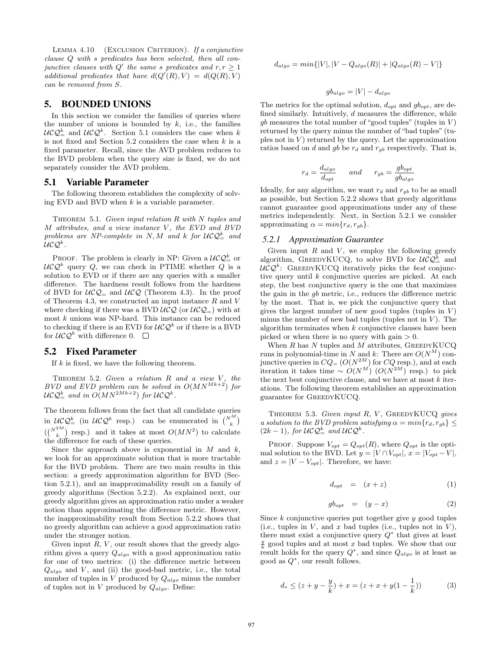LEMMA  $4.10$  (EXCLUSION CRITERION). If a conjunctive clause Q with s predicates has been selected, then all conjunctive clauses with  $Q'$  the same s predicates and  $r, r \geq 1$ additional predicates that have  $d(Q'(R), V) = d(Q(R), V)$ can be removed from S.

# 5. BOUNDED UNIONS

In this section we consider the families of queries where the number of unions is bounded by  $k$ , i.e., the families  $\mathcal{UCQ}_{\equiv}^k$  and  $\mathcal{UCQ}^k$ . Section 5.1 considers the case when k is not fixed and Section 5.2 considers the case when  $k$  is a fixed parameter. Recall, since the AVD problem reduces to the BVD problem when the query size is fixed, we do not separately consider the AVD problem.

# 5.1 Variable Parameter

The following theorem establishes the complexity of solving EVD and BVD when  $k$  is a variable parameter.

THEOREM 5.1. Given input relation  $R$  with  $N$  tuples and M attributes, and a view instance V, the EVD and BVD problems are NP-complete in N, M and k for  $\mathcal{UCQ}^k_{=}$  and ИС ${\cal Q}^k$  .

PROOF. The problem is clearly in NP: Given a  $\mathcal{U}\mathcal{C}^k_{=}$  or  $\mathcal{UCQ}^k$  query Q, we can check in PTIME whether Q is a solution to EVD or if there are any queries with a smaller difference. The hardness result follows from the hardness of BVD for  $U C Q$  and  $U C Q$  (Theorem 4.3). In the proof of Theorem 4.3, we constructed an input instance  $R$  and  $V$ where checking if there was a BVD  $UCQ$  (or  $UCQ_{=}$ ) with at most k unions was NP-hard. This instance can be reduced to checking if there is an EVD for  $\mathcal{UCQ}^k$  or if there is a BVD for  $\mathcal{UCQ}^k$  with difference 0.  $\square$ 

#### 5.2 Fixed Parameter

If  $k$  is fixed, we have the following theorem.

THEOREM 5.2. Given a relation  $R$  and a view  $V$ , the BVD and EVD problem can be solved in  $O(MN^{Mk+2})$  for  $\mathcal{UCQ}^k_-$  and in  $O(MN^{2Mk+2})$  for  $\mathcal{UCQ}^k$ .

The theorem follows from the fact that all candidate queries in  $\mathcal{UCQ}_{=}^k$  (in  $\mathcal{UCQ}^k$  resp.) can be enumerated in  $\binom{N_M}{k}$ k  $\binom{\binom{N^{2M}}{k}}$  resp.) and it takes at most  $O(MN^2)$  to calculate the difference for each of these queries.

Since the approach above is exponential in  $M$  and  $k$ , we look for an approximate solution that is more tractable for the BVD problem. There are two main results in this section: a greedy approximation algorithm for BVD (Section 5.2.1), and an inapproximability result on a family of greedy algorithms (Section 5.2.2). As explained next, our greedy algorithm gives an approximation ratio under a weaker notion than approximating the difference metric. However, the inapproximability result from Section 5.2.2 shows that no greedy algorithm can achieve a good approximation ratio under the stronger notion.

Given input  $R$ ,  $V$ , our result shows that the greedy algorithm gives a query  $Q_{algo}$  with a good approximation ratio for one of two metrics: (i) the difference metric between  $Q_{algo}$  and V, and (ii) the good-bad metric, i.e., the total number of tuples in V produced by  $Q_{algo}$  minus the number of tuples not in V produced by  $Q_{algo}$ . Define:

$$
d_{algo} = min\{|V|, |V - Q_{algo}(R)| + |Q_{algo}(R) - V|\}
$$

$$
gb_{\text{algo}} = |V| - d_{\text{algo}}
$$

The metrics for the optimal solution,  $d_{opt}$  and  $gb_{opt}$ , are defined similarly. Intuitively, d measures the difference, while  $gb$  measures the total number of "good tuples" (tuples in  $V$ ) returned by the query minus the number of "bad tuples" (tuples not in  $V$ ) returned by the query. Let the approximation ratios based on d and gb be  $r_d$  and  $r_{gb}$  respectively. That is,

$$
r_d = \frac{d_{algo}}{d_{opt}} \qquad and \qquad r_{gb} = \frac{gb_{opt}}{gb_{algo}}
$$

Ideally, for any algorithm, we want  $r_d$  and  $r_{gb}$  to be as small as possible, but Section 5.2.2 shows that greedy algorithms cannot guarantee good approximations under any of these metrics independently. Next, in Section 5.2.1 we consider approximating  $\alpha = min\{r_d, r_{qb}\}.$ 

#### *5.2.1 Approximation Guarantee*

Given input  $R$  and  $V$ , we employ the following greedy algorithm, GREEDYKUCQ, to solve BVD for  $\mathcal{UCQ}_{=}^{\overline{k}}$  and  $\mathcal{UCQ}^k$ : GREEDYKUCQ iteratively picks the best conjunctive query until  $k$  conjunctive queries are picked. At each step, the best conjunctive query is the one that maximizes the gain in the gb metric, i.e., reduces the difference metric by the most. That is, we pick the conjunctive query that gives the largest number of new good tuples (tuples in  $V$ ) minus the number of new bad tuples (tuples not in  $V$ ). The algorithm terminates when  $k$  conjunctive clauses have been picked or when there is no query with gain  $> 0$ .

When  $R$  has  $N$  tuples and  $M$  attributes, GREEDYKUCQ runs in polynomial-time in N and k: There are  $O(N^M)$  conjunctive queries in  $CQ = (O(N^{2M})$  for  $CQ$  resp.), and at each iteration it takes time ~  $O(N^M)$   $(O(N^{2M})$  resp.) to pick the next best conjunctive clause, and we have at most  $k$  iterations. The following theorem establishes an approximation guarantee for GreedyKUCQ.

THEOREM 5.3. Given input  $R$ ,  $V$ , GREEDYKUCQ gives a solution to the BVD problem satisfying  $\alpha = min\{r_d, r_{ab}\}\leq$  $(2k-1)$ , for  $\mathcal{UCQ}_{=}^k$  and  $\mathcal{UCQ}^k$ .

PROOF. Suppose  $V_{opt} = Q_{opt}(R)$ , where  $Q_{opt}$  is the optimal solution to the BVD. Let  $y = |V \cap V_{opt}|$ ,  $x = |V_{opt} - V|$ , and  $z = |V - V_{opt}|$ . Therefore, we have:

$$
d_{opt} = (x+z) \tag{1}
$$

$$
gb_{opt} = (y - x) \tag{2}
$$

Since  $k$  conjunctive queries put together give  $y$  good tuples (i.e., tuples in  $V$ , and  $x$  bad tuples (i.e., tuples not in  $V$ ), there must exist a conjunctive query  $Q^*$  that gives at least  $\frac{y}{k}$  good tuples and at most x bad tuples. We show that our result holds for the query  $Q^*$ , and since  $Q_{algo}$  is at least as good as  $Q^*$ , our result follows.

$$
d_* \le (z + y - \frac{y}{k}) + x = (z + x + y(1 - \frac{1}{k}))
$$
 (3)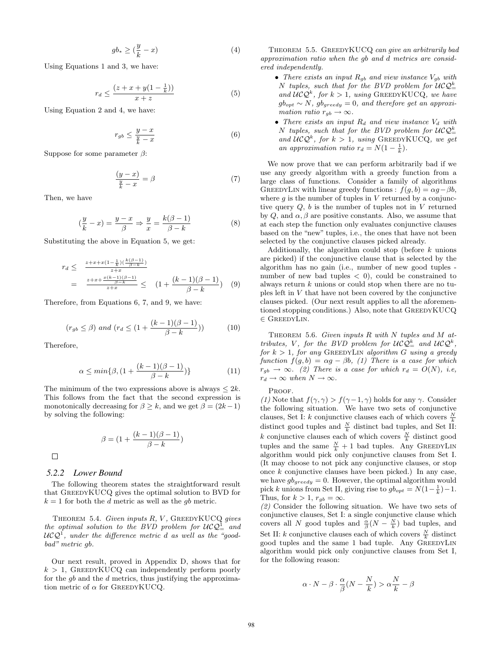$$
gb_* \geq (\frac{y}{k} - x) \tag{4}
$$

Using Equations 1 and 3, we have:

$$
r_d \le \frac{(z+x+y(1-\frac{1}{k}))}{x+z} \tag{5}
$$

Using Equation 2 and 4, we have:

$$
r_{gb} \le \frac{y-x}{\frac{y}{k}-x} \tag{6}
$$

Suppose for some parameter  $\beta$ :

$$
\frac{(y-x)}{\frac{y}{k}-x} = \beta \tag{7}
$$

Then, we have

$$
\left(\frac{y}{k} - x\right) = \frac{y - x}{\beta} \Rightarrow \frac{y}{x} = \frac{k(\beta - 1)}{\beta - k} \tag{8}
$$

Substituting the above in Equation 5, we get:

$$
r_d \leq \frac{z + x + x(1 - \frac{1}{k})(\frac{k(\beta - 1)}{\beta - k})}{z + x}
$$
  
= 
$$
\frac{z + x + \frac{x(k - 1)(\beta - 1)}{\beta - k}}{z + x} \leq (1 + \frac{(k - 1)(\beta - 1)}{\beta - k})
$$
 (9)

Therefore, from Equations 6, 7, and 9, we have:

$$
(r_{gb} \le \beta) \text{ and } (r_d \le (1 + \frac{(k-1)(\beta-1)}{\beta-k}))
$$
 (10)

Therefore,

$$
\alpha \le \min\{\beta, \left(1 + \frac{(k-1)(\beta - 1)}{\beta - k}\right)\}\tag{11}
$$

The minimum of the two expressions above is always  $\leq 2k$ . This follows from the fact that the second expression is monotonically decreasing for  $\beta \geq k$ , and we get  $\beta = (2k-1)$ by solving the following:

$$
\beta = (1 + \frac{(k-1)(\beta - 1)}{\beta - k})
$$

 $\Box$ 

#### *5.2.2 Lower Bound*

The following theorem states the straightforward result that GreedyKUCQ gives the optimal solution to BVD for  $k = 1$  for both the d metric as well as the gb metric.

THEOREM 5.4. Given inputs  $R$ ,  $V$ , GREEDYKUCQ gives the optimal solution to the BVD problem for  $\mathcal{UCQ}^1_{=}$  and  $\mathcal{U}\mathcal{CQ}^{1},$  under the difference metric  $d$  as well as the "goodbad" metric gb.

Our next result, proved in Appendix D, shows that for  $k > 1$ , GREEDYKUCQ can independently perform poorly for the  $gb$  and the  $d$  metrics, thus justifying the approximation metric of  $\alpha$  for GREEDYKUCQ.

THEOREM 5.5. GREEDYKUCQ can give an arbitrarily bad approximation ratio when the gb and d metrics are considered independently.

- There exists an input  $R_{gb}$  and view instance  $V_{gb}$  with N tuples, such that for the BVD problem for  $\mathcal{UCQ}_{=}^k$ and  $\mathcal{UCQ}^k$ , for  $k > 1$ , using GREEDYKUCQ, we have  $gb_{opt} \sim N$ ,  $gb_{greedy} = 0$ , and therefore get an approximation ratio  $r_{gb} \rightarrow \infty$ .
- There exists an input  $R_d$  and view instance  $V_d$  with N tuples, such that for the BVD problem for  $\mathcal{UCQ}^k_{=}$ and  $\mathcal{UCQ}^k$ , for  $k > 1$ , using GREEDYKUCQ, we get an approximation ratio  $r_d = N(1 - \frac{1}{k}).$

We now prove that we can perform arbitrarily bad if we use any greedy algorithm with a greedy function from a large class of functions. Consider a family of algorithms GREEDYLIN with linear greedy functions :  $f(g, b) = \alpha g - \beta b$ , where  $g$  is the number of tuples in  $V$  returned by a conjunctive query  $Q$ ,  $b$  is the number of tuples not in  $V$  returned by  $Q$ , and  $\alpha$ ,  $\beta$  are positive constants. Also, we assume that at each step the function only evaluates conjunctive clauses based on the "new" tuples, i.e., the ones that have not been selected by the conjunctive clauses picked already.

Additionally, the algorithm could stop (before  $k$  unions are picked) if the conjunctive clause that is selected by the algorithm has no gain (i.e., number of new good tuples number of new bad tuples  $\langle 0 \rangle$ , could be constrained to always return  $k$  unions or could stop when there are no tuples left in  $V$  that have not been covered by the conjunctive clauses picked. (Our next result applies to all the aforementioned stopping conditions.) Also, note that GREEDYKUCQ ∈ GreedyLin.

THEOREM 5.6. Given inputs  $R$  with  $N$  tuples and  $M$  attributes, V, for the BVD problem for  $\mathcal{UCQ}_{=}^k$  and  $\mathcal{UCQ}^k$ , for  $k > 1$ , for any GREEDYLIN algorithm G using a greedy function  $f(g, b) = \alpha g - \beta b$ , (1) There is a case for which  $r_{gb} \rightarrow \infty$ . (2) There is a case for which  $r_d = O(N)$ , i.e,  $r_d \rightarrow \infty$  when  $N \rightarrow \infty$ .

PROOF.

(1) Note that  $f(\gamma, \gamma) > f(\gamma - 1, \gamma)$  holds for any  $\gamma$ . Consider the following situation. We have two sets of conjunctive clauses, Set I: k conjunctive clauses each of which covers  $\frac{N}{k}$ distinct good tuples and  $\frac{N}{k}$  distinct bad tuples, and Set II: k conjunctive clauses each of which covers  $\frac{N}{k}$  distinct good tuples and the same  $\frac{N}{k} + 1$  bad tuples. Any GREEDYLIN algorithm would pick only conjunctive clauses from Set I. (It may choose to not pick any conjunctive clauses, or stop once  $k$  conjunctive clauses have been picked.) In any case, we have  $gb_{greedy} = 0$ . However, the optimal algorithm would pick k unions from Set II, giving rise to  $gb_{opt} = N(1 - \frac{1}{k}) - 1$ . Thus, for  $k > 1$ ,  $r_{gb} = \infty$ .

(2) Consider the following situation. We have two sets of conjunctive clauses, Set I: a single conjunctive clause which covers all N good tuples and  $\frac{\alpha}{\beta}(N - \frac{N}{k})$  bad tuples, and Set II: k conjunctive clauses each of which covers  $\frac{N}{k}$  distinct good tuples and the same 1 bad tuple. Any GREEDYLIN algorithm would pick only conjunctive clauses from Set I, for the following reason:

$$
\alpha \cdot N - \beta \cdot \frac{\alpha}{\beta} (N - \frac{N}{k}) > \alpha \frac{N}{k} - \beta
$$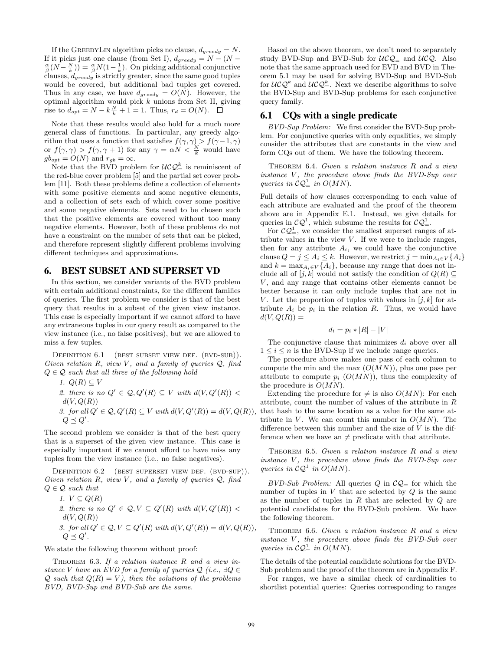If the GREEDYLIN algorithm picks no clause,  $d_{greedy} = N$ . If it picks just one clause (from Set I),  $d_{greedy} = N - (N \frac{\alpha}{\beta}(N-\frac{N}{k}) = \frac{\alpha}{\beta}N(1-\frac{1}{k})$ . On picking additional conjunctive clauses,  $d_{greedy}$  is strictly greater, since the same good tuples would be covered, but additional bad tuples get covered. Thus in any case, we have  $d_{greedy} = O(N)$ . However, the optimal algorithm would pick k unions from Set II, giving rise to  $d_{opt} = N - k \frac{N}{k} + 1 = 1$ . Thus,  $r_d = O(N)$ .

Note that these results would also hold for a much more general class of functions. In particular, any greedy algorithm that uses a function that satisfies  $f(\gamma, \gamma) > f(\gamma - 1, \gamma)$ or  $f(\gamma, \gamma) > f(\gamma, \gamma + 1)$  for any  $\gamma = \alpha N < \frac{N}{k}$  would have  $gb_{opt} = O(N)$  and  $r_{gb} = \infty$ .

Note that the BVD problem for  $\mathcal{UCQ}_{=}^k$  is reminiscent of the red-blue cover problem [5] and the partial set cover problem [11]. Both these problems define a collection of elements with some positive elements and some negative elements, and a collection of sets each of which cover some positive and some negative elements. Sets need to be chosen such that the positive elements are covered without too many negative elements. However, both of these problems do not have a constraint on the number of sets that can be picked, and therefore represent slightly different problems involving different techniques and approximations.

# 6. BEST SUBSET AND SUPERSET VD

In this section, we consider variants of the BVD problem with certain additional constraints, for the different families of queries. The first problem we consider is that of the best query that results in a subset of the given view instance. This case is especially important if we cannot afford to have any extraneous tuples in our query result as compared to the view instance (i.e., no false positives), but we are allowed to miss a few tuples.

DEFINITION  $6.1$  (BEST SUBSET VIEW DEF. (BVD-SUB)). Given relation R, view V, and a family of queries  $Q$ , find  $Q \in \mathcal{Q}$  such that all three of the following hold

$$
1. \ Q(R) \subseteq V
$$

2. there is no 
$$
Q' \in \mathcal{Q}, Q'(R) \subseteq V
$$
 with  $d(V, Q'(R)) < d(V, Q(R))$ 3. for all  $Q' \in \mathcal{Q}, Q'(R) \subseteq V$  with  $d(V, Q'(R)) = d(V, Q(R))$  $Q \preceq Q'.$ 

The second problem we consider is that of the best query that is a superset of the given view instance. This case is especially important if we cannot afford to have miss any tuples from the view instance (i.e., no false negatives).

DEFINITION 6.2 (BEST SUPERSET VIEW DEF. (BVD-SUP)). Given relation  $R$ , view  $V$ , and a family of queries  $Q$ , find  $Q \in \mathcal{Q}$  such that

\n- 1. 
$$
V \subseteq Q(R)
$$
\n- 2. there is no  $Q' \in Q, V \subseteq Q'(R)$  with  $d(V, Q'(R)) < d(V, Q(R))$
\n- 3. for all  $Q' \in Q, V \subseteq Q'(R)$  with  $d(V, Q'(R)) = d(V, Q(R))$ ,  $Q \preceq Q'$ .
\n

We state the following theorem without proof:

THEOREM 6.3. If a relation instance  $R$  and a view instance V have an EVD for a family of queries  $\mathcal{Q}$  (i.e.,  $\exists Q \in$  $Q$  such that  $Q(R) = V$ , then the solutions of the problems BVD, BVD-Sup and BVD-Sub are the same.

Based on the above theorem, we don't need to separately study BVD-Sup and BVD-Sub for  $U C Q$ <sub>=</sub> and  $U C Q$ . Also note that the same approach used for EVD and BVD in Theorem 5.1 may be used for solving BVD-Sup and BVD-Sub for  $\mathcal{UCQ}^k$  and  $\mathcal{UCQ}^k_{=}$ . Next we describe algorithms to solve the BVD-Sup and BVD-Sup problems for each conjunctive query family.

# 6.1 CQs with a single predicate

BVD-Sup Problem: We first consider the BVD-Sup problem. For conjunctive queries with only equalities, we simply consider the attributes that are constants in the view and form CQs out of them. We have the following theorem.

THEOREM  $6.4.$  Given a relation instance R and a view instance  $V$ , the procedure above finds the  $BVD\text{-}Sup$  over queries in  $CQ_{=}^{1}$  in  $O(MN)$ .

Full details of how clauses corresponding to each value of each attribute are evaluated and the proof of the theorem above are in Appendix E.1. Instead, we give details for queries in  $\mathcal{CQ}^1$ , which subsume the results for  $\mathcal{CQ}^1$ .

For  $\mathcal{CQ}^1_{=}$ , we consider the smallest superset ranges of attribute values in the view  $V$ . If we were to include ranges, then for any attribute  $A_i$ , we could have the conjunctive clause  $Q = j \leq A_i \leq k$ . However, we restrict  $j = \min_{A_i \in V} \{A_i\}$ and  $k = \max_{A_i \in V} \{A_i\}$ , because any range that does not include all of  $[j, k]$  would not satisfy the condition of  $Q(R) \subseteq$  $V$ , and any range that contains other elements cannot be better because it can only include tuples that are not in V. Let the proportion of tuples with values in  $[i, k]$  for attribute  $A_i$  be  $p_i$  in the relation R. Thus, we would have  $d(V, Q(R)) =$ 

$$
d_i = p_i * |R| - |V|
$$

The conjunctive clause that minimizes  $d_i$  above over all  $1 \leq i \leq n$  is the BVD-Sup if we include range queries.

The procedure above makes one pass of each column to compute the min and the max  $(O(MN))$ , plus one pass per attribute to compute  $p_i$  ( $O(MN)$ ), thus the complexity of the procedure is  $O(MN)$ .

 $(R) = d(V, Q(R))$ , that hash to the same location as a value for the same at-Extending the procedure for  $\neq$  is also  $O(MN)$ : For each attribute, count the number of values of the attribute in R tribute in  $V$ . We can count this number in  $O(MN)$ . The difference between this number and the size of  $V$  is the difference when we have an  $\neq$  predicate with that attribute.

> THEOREM  $6.5.$  Given a relation instance  $R$  and a view instance  $V$ , the procedure above finds the  $BVD\text{-}Sup$  over queries in  $CQ^1$  in  $O(MN)$ .

> BVD-Sub Problem: All queries  $Q$  in  $CQ$  for which the number of tuples in  $V$  that are selected by  $Q$  is the same as the number of tuples in  $R$  that are selected by  $Q$  are potential candidates for the BVD-Sub problem. We have the following theorem.

> THEOREM  $6.6.$  Given a relation instance R and a view instance  $V$ , the procedure above finds the  $BVD-Sub$  over queries in  $CQ_{=}^{1}$  in  $O(MN)$ .

> The details of the potential candidate solutions for the BVD-Sub problem and the proof of the theorem are in Appendix F.

> For ranges, we have a similar check of cardinalities to shortlist potential queries: Queries corresponding to ranges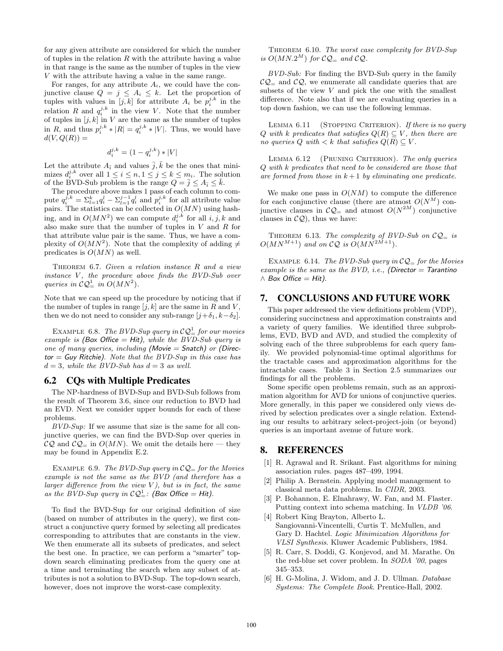for any given attribute are considered for which the number of tuples in the relation  $R$  with the attribute having a value in that range is the same as the number of tuples in the view V with the attribute having a value in the same range.

For ranges, for any attribute  $A_i$ , we could have the conjunctive clause  $Q = j \leq A_i \leq k$ . Let the proportion of tuples with values in  $[j,k]$  for attribute  $A_i$  be  $p_i^{j,k}$  in the relation R and  $q_i^{j,k}$  in the view V. Note that the number of tuples in  $[j, k]$  in V are the same as the number of tuples in R, and thus  $p_i^{j,k} * |R| = q_i^{j,k} * |V|$ . Thus, we would have  $d(V, Q(R)) =$ 

$$
d_i^{j,k} = (1 - q_i^{j,k}) * |V|
$$

Let the attribute  $A_{\bar{i}}$  and values  $\bar{j}, \bar{k}$  be the ones that minimizes  $d_i^{j,k}$  over all  $1 \leq i \leq n, 1 \leq j \leq k \leq m_i$ . The solution of the BVD-Sub problem is the range  $Q = \bar{j} \leq A_{\bar{i}} \leq \bar{k}$ .

The procedure above makes 1 pass of each column to compute  $q_i^{\hat{j},k} = \sum_{l=1}^k q_i^l - \sum_{l=1}^{j-1} q_i^l$  and  $p_i^{j,k}$  for all attribute value pairs. The statistics can be collected in  $O(MN)$  using hashing, and in  $O(MN^2)$  we can compute  $d_i^{j,k}$  for all  $i, j, k$  and also make sure that the number of tuples in  $V$  and  $R$  for that attribute value pair is the same. Thus, we have a complexity of  $O(MN^2)$ . Note that the complexity of adding  $\neq$ predicates is  $O(MN)$  as well.

THEOREM  $6.7.$  Given a relation instance R and a view instance  $V$ , the procedure above finds the  $BVD-Sub$  over queries in  $CQ_{=}^1$  in  $O(MN^2)$ .

Note that we can speed up the procedure by noticing that if the number of tuples in range  $[j, k]$  are the same in R and V, then we do not need to consider any sub-range  $[j+\delta_1, k-\delta_2]$ .

EXAMPLE 6.8. The BVD-Sup query in  $\mathcal{CQ}^1_$  for our movies example is (Box Office  $=$  Hit), while the BVD-Sub query is one of many queries, including (Movie = Snatch) or (Direc $tor = Guy$  Ritchie). Note that the BVD-Sup in this case has  $d = 3$ , while the BVD-Sub has  $d = 3$  as well.

# 6.2 CQs with Multiple Predicates

The NP-hardness of BVD-Sup and BVD-Sub follows from the result of Theorem 3.6, since our reduction to BVD had an EVD. Next we consider upper bounds for each of these problems.

BVD-Sup: If we assume that size is the same for all conjunctive queries, we can find the BVD-Sup over queries in  $\mathcal{CQ}$  and  $\mathcal{CQ}_=$  in  $O(MN)$ . We omit the details here — they may be found in Appendix E.2.

EXAMPLE 6.9. The BVD-Sup query in  $CQ$  for the Movies example is not the same as the BVD (and therefore has a larger difference from the view  $V$ ), but is in fact, the same as the BVD-Sup query in  $CQ^1$ : (Box Office = Hit).

To find the BVD-Sup for our original definition of size (based on number of attributes in the query), we first construct a conjunctive query formed by selecting all predicates corresponding to attributes that are constants in the view. We then enumerate all its subsets of predicates, and select the best one. In practice, we can perform a "smarter" topdown search eliminating predicates from the query one at a time and terminating the search when any subset of attributes is not a solution to BVD-Sup. The top-down search, however, does not improve the worst-case complexity.

THEOREM  $6.10$ . The worst case complexity for BVD-Sup is  $O(MN.2^M)$  for  $CQ_{\equiv}$  and  $CQ$ .

 $BVD-Sub$ : For finding the BVD-Sub query in the family  $\mathcal{CQ}_=$  and  $\mathcal{CQ}$ , we enumerate all candidate queries that are subsets of the view  $V$  and pick the one with the smallest difference. Note also that if we are evaluating queries in a top down fashion, we can use the following lemmas.

LEMMA  $6.11$  (STOPPING CRITERION). If there is no query Q with k predicates that satisfies  $Q(R) \subseteq V$ , then there are no queries  $Q$  with  $\lt k$  that satisfies  $Q(R) \subseteq V$ .

LEMMA  $6.12$  (PRUNING CRITERION). The only queries Q with k predicates that need to be considered are those that are formed from those in  $k + 1$  by eliminating one predicate.

We make one pass in  $O(NM)$  to compute the difference for each conjunctive clause (there are atmost  $O(N^M)$  conjunctive clauses in  $\mathcal{CQ}_=$  and atmost  $O(N^{2M})$  conjunctive clauses in  $CQ$ ), thus we have:

THEOREM 6.13. The complexity of BVD-Sub on  $CQ_{=}$  is  $O(MN^{M+1})$  and on  $CQ$  is  $O(MN^{2M+1})$ .

EXAMPLE 6.14. The BVD-Sub query in  $CQ$ <sub>=</sub> for the Movies example is the same as the  $BVD$ , i.e., (Director = Tarantino  $\land$  Box Office = Hit).

# 7. CONCLUSIONS AND FUTURE WORK

This paper addressed the view definitions problem (VDP), considering succinctness and approximation constraints and a variety of query families. We identified three subproblems, EVD, BVD and AVD, and studied the complexity of solving each of the three subproblems for each query family. We provided polynomial-time optimal algorithms for the tractable cases and approximation algorithms for the intractable cases. Table 3 in Section 2.5 summarizes our findings for all the problems.

Some specific open problems remain, such as an approximation algorithm for AVD for unions of conjunctive queries. More generally, in this paper we considered only views derived by selection predicates over a single relation. Extending our results to arbitrary select-project-join (or beyond) queries is an important avenue of future work.

# 8. REFERENCES

- [1] R. Agrawal and R. Srikant. Fast algorithms for mining association rules. pages 487–499, 1994.
- [2] Philip A. Bernstein. Applying model management to classical meta data problems. In CIDR, 2003.
- [3] P. Bohannon, E. Elnahrawy, W. Fan, and M. Flaster. Putting context into schema matching. In VLDB '06.
- [4] Robert King Brayton, Alberto L. Sangiovanni-Vincentelli, Curtis T. McMullen, and Gary D. Hachtel. Logic Minimization Algorithms for VLSI Synthesis. Kluwer Academic Publishers, 1984.
- [5] R. Carr, S. Doddi, G. Konjevod, and M. Marathe. On the red-blue set cover problem. In SODA '00, pages 345–353.
- [6] H. G-Molina, J. Widom, and J. D. Ullman. Database Systems: The Complete Book. Prentice-Hall, 2002.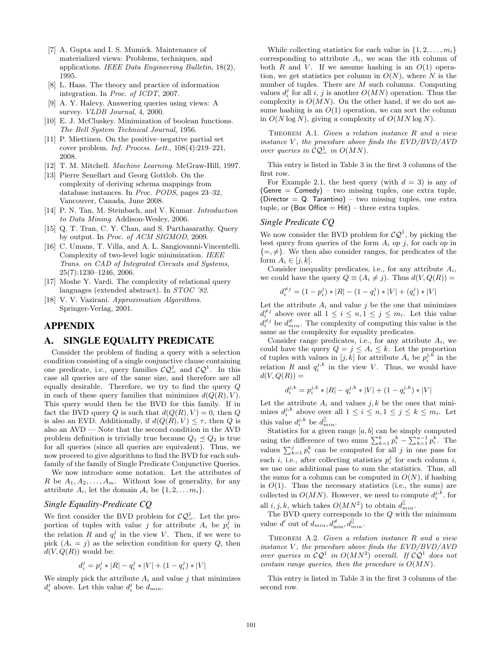- [7] A. Gupta and I. S. Mumick. Maintenance of materialized views: Problems, techniques, and applications. IEEE Data Engineering Bulletin, 18(2), 1995.
- [8] L. Haas. The theory and practice of information integration. In Proc. of ICDT, 2007.
- [9] A. Y. Halevy. Answering queries using views: A survey. *VLDB* Journal, 4, 2000.
- [10] E. J. McCluskey. Minimization of boolean functions. The Bell System Technical Journal, 1956.
- [11] P. Miettinen. On the positive–negative partial set cover problem. Inf. Process. Lett., 108(4):219–221, 2008.
- [12] T. M. Mitchell. Machine Learning. McGraw-Hill, 1997.
- [13] Pierre Senellart and Georg Gottlob. On the complexity of deriving schema mappings from database instances. In Proc. PODS, pages 23–32, Vancouver, Canada, June 2008.
- [14] P. N. Tan, M. Steinbach, and V. Kumar. *Introduction* to Data Mining. Addison-Wesley, 2006.
- [15] Q. T. Tran, C. Y. Chan, and S. Parthasarathy. Query by output. In Proc. of ACM SIGMOD, 2009.
- [16] C. Umans, T. Villa, and A. L. Sangiovanni-Vincentelli. Complexity of two-level logic minimization. IEEE Trans. on CAD of Integrated Circuits and Systems, 25(7):1230–1246, 2006.
- [17] Moshe Y. Vardi. The complexity of relational query languages (extended abstract). In STOC '82.
- [18] V. V. Vazirani. Approximation Algorithms. Springer-Verlag, 2001.

# APPENDIX

# A. SINGLE EQUALITY PREDICATE

Consider the problem of finding a query with a selection condition consisting of a single conjunctive clause containing one predicate, i.e., query families  $\mathcal{CQ}^1$  and  $\mathcal{CQ}^1$ . In this case all queries are of the same size, and therefore are all equally desirable. Therefore, we try to find the query Q in each of these query families that minimizes  $d(O(R), V)$ . This query would then be the BVD for this family. If in fact the BVD query Q is such that  $d(Q(R), V) = 0$ , then Q is also an EVD. Additionally, if  $d(Q(R), V) \leq \tau$ , then Q is also an AVD — Note that the second condition in the AVD problem definition is trivially true because  $Q_1 \prec Q_2$  is true for all queries (since all queries are equivalent). Thus, we now proceed to give algorithms to find the BVD for each subfamily of the family of Single Predicate Conjunctive Queries.

We now introduce some notation. Let the attributes of R be  $A_1, A_2, \ldots, A_m$ . Without loss of generality, for any attribute  $A_i$ , let the domain  $A_i$  be  $\{1, 2, \ldots m_i\}$ .

### *Single Equality-Predicate CQ*

We first consider the BVD problem for  $\mathcal{CQ}^1_{=}$ . Let the proportion of tuples with value j for attribute  $A_i$  be  $p_i^{\bar{j}}$  in the relation R and  $q_i^j$  in the view V. Then, if we were to pick  $(A_i = j)$  as the selection condition for query Q, then  $d(V, Q(R))$  would be:

$$
d_i^j = p_i^j * |R| - q_i^j * |V| + (1 - q_i^j) * |V|
$$

We simply pick the attribute  $A_i$  and value j that minimizes  $d_i^j$  above. Let this value  $d_i^j$  be  $d_{min}$ .

While collecting statistics for each value in  $\{1, 2, \ldots, m_i\}$ corresponding to attribute  $A_i$ , we scan the *i*th column of both R and V. If we assume hashing is an  $O(1)$  operation, we get statistics per column in  $O(N)$ , where N is the number of tuples. There are M such columns. Computing values  $d_i^j$  for all i, j is another  $O(MN)$  operation. Thus the complexity is  $O(MN)$ . On the other hand, if we do not assume hashing is an  $O(1)$  operation, we can sort the column in  $O(N \log N)$ , giving a complexity of  $O(MN \log N)$ .

THEOREM A.1. Given a relation instance R and a view instance V, the procedure above finds the  $EVD/BVD/AVD$ over queries in  $CQ_{=}^1$  in  $O(MN)$ .

This entry is listed in Table 3 in the first 3 columns of the first row.

For Example 2.1, the best query (with  $d = 3$ ) is any of  $(Genre = Comedy) - two missing tuples, one extra tuple,$ (Director  $=$  Q. Tarantino) – two missing tuples, one extra tuple, or (Box Office  $=$  Hit) – three extra tuples.

# *Single Predicate CQ*

We now consider the BVD problem for  $\mathcal{CQ}^1$ , by picking the best query from queries of the form  $A_i$  op j, for each op in  $\{\equiv,\neq\}.$  We then also consider ranges, for predicates of the form  $A_i \in [i, k]$ .

Consider inequality predicates, i.e., for any attribute  $A_i$ , we could have the query  $Q \equiv (A_i \neq j)$ . Thus  $d(V, Q(R)) =$ 

$$
d_i^{\neq j} = (1 - p_i^j) * |R| - (1 - q_i^j) * |V| + (q_i^j) * |V|
$$

Let the attribute  $A_i$  and value j be the one that minimizes  $d_i^{\neq j}$  above over all  $1 \leq i \leq n, 1 \leq j \leq m_i$ . Let this value  $d_i^{\neq j}$  be  $d_{min}^{\neq}$ . The complexity of computing this value is the same as the complexity for equality predicates.

Consider range predicates, i.e., for any attribute  $A_i$ , we could have the query  $Q = j \leq A_i \leq k$ . Let the proportion of tuples with values in  $[j, k]$  for attribute  $A_i$  be  $p_i^{j, k}$  in the relation R and  $q_i^{j,k}$  in the view V. Thus, we would have  $d(V, Q(R)) =$ 

$$
d_i^{j,k} = p_i^{j,k} * |R| - q_i^{j,k} * |V| + (1 - q_i^{j,k}) * |V|
$$

Let the attribute  $A_i$  and values  $j, k$  be the ones that minimizes  $d_i^{j,k}$  above over all  $1 \leq i \leq n, 1 \leq j \leq k \leq m_i$ . Let this value  $d_i^{j,k}$  be  $d_{min}^{\parallel}$ .

Statistics for a given range  $[a, b]$  can be simply computed using the difference of two sums  $\sum_{k=1}^{b} p_i^k - \sum_{k=1}^{a-1} p_i^k$ . The values  $\sum_{k=1}^{j} p_i^k$  can be computed for all j in one pass for each *i*, i.e., after collecting statistics  $p_i^j$  for each column *i*, we use one additional pass to sum the statistics. Thus, all the sums for a column can be computed in  $O(N)$ , if hashing is  $O(1)$ . Thus the necessary statistics (i.e., the sums) are collected in  $O(MN)$ . However, we need to compute  $d_i^{j,k}$ , for all  $i, j, k$ , which takes  $O(MN^2)$  to obtain  $d_{min}^{\parallel}$ .

The BVD query corresponds to the  $Q$  with the minimum value d'out of  $d_{min}$ ,  $d_{min}^{\neq}$ ,  $d_{min}^{\parallel}$ .

THEOREM A.2. Given a relation instance  $R$  and a view instance V, the procedure above finds the  $EVD/BVD/AVD$ over queries in  $CQ^1$  in  $O(MN^2)$  overall. If  $CQ^1$  does not contain range queries, then the procedure is  $O(MN)$ .

This entry is listed in Table 3 in the first 3 columns of the second row.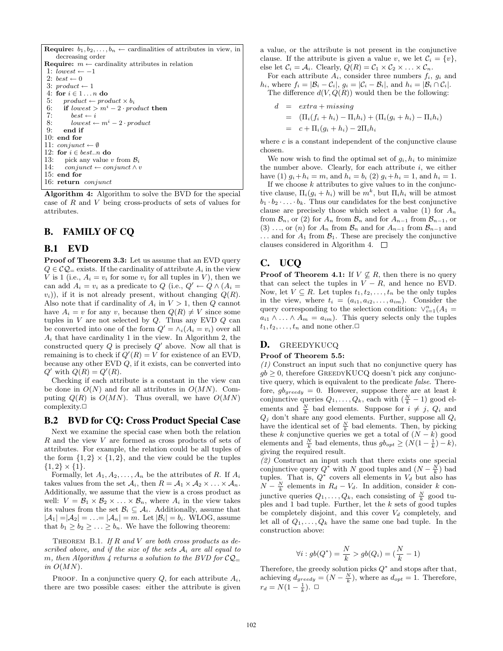```
Require: b_1, b_2, \ldots, b_n \leftarrow cardinalities of attributes in view, in
     decreasing order
Require: m \leftarrow cardinality attributes in relation
 1: lowest \leftarrow -12: best \leftarrow 03: product \leftarrow 14: for i \in 1 \ldots n do
 5: product \leftarrow product \times b_i<br>6: if lowest > m^i - 2 \cdot m^iif lowest > m^i - 2 · product then
 7: best \leftarrow i8: lowest \leftarrow m^i - 2 \cdot product<br>9: end if
         end if
10: end for
11: conjunct \leftarrow \emptyset12: for i \in best..n do
13: pick any value v from \mathcal{B}_i<br>14: conjunct \leftarrow conjunct \wedge\text{conjunct} \leftarrow \text{conjunct} \land v15: end for
16: return conjunct
```
Algorithm 4: Algorithm to solve the BVD for the special case of R and V being cross-products of sets of values for attributes.

# B. FAMILY OF CQ

# B.1 EVD

Proof of Theorem 3.3: Let us assume that an EVD query  $Q \in \mathcal{CQ}_{\equiv}$  exists. If the cardinality of attribute  $A_i$  in the view V is 1 (i.e.,  $A_i = v_i$  for some  $v_i$  for all tuples in V), then we can add  $A_i = v_i$  as a predicate to  $Q$  (i.e.,  $Q' \leftarrow Q \wedge (A_i =$  $(v_i)$ ), if it is not already present, without changing  $Q(R)$ . Also note that if cardinality of  $A_i$  in  $V > 1$ , then Q cannot have  $A_i = v$  for any v, because then  $Q(R) \neq V$  since some tuples in  $V$  are not selected by  $Q$ . Thus any EVD  $Q$  can be converted into one of the form  $Q' = \wedge_i (A_i = v_i)$  over all  $A_i$  that have cardinality 1 in the view. In Algorithm 2, the constructed query  $Q$  is precisely  $Q'$  above. Now all that is remaining is to check if  $Q'(R) = V$  for existence of an EVD, because any other EVD  $Q$ , if it exists, can be converted into  $Q'$  with  $Q(R) = Q'(R)$ .

Checking if each attribute is a constant in the view can be done in  $O(N)$  and for all attributes in  $O(MN)$ . Computing  $Q(R)$  is  $O(MN)$ . Thus overall, we have  $O(MN)$ complexity.

# B.2 BVD for CQ: Cross Product Special Case

Next we examine the special case when both the relation R and the view V are formed as cross products of sets of attributes. For example, the relation could be all tuples of the form  $\{1,2\} \times \{1,2\}$ , and the view could be the tuples  $\{1,2\} \times \{1\}.$ 

Formally, let  $A_1, A_2, \ldots, A_n$  be the attributes of R. If  $A_i$ takes values from the set  $A_i$ , then  $R = A_1 \times A_2 \times \ldots \times A_n$ . Additionally, we assume that the view is a cross product as well:  $V = \mathcal{B}_1 \times \mathcal{B}_2 \times \ldots \times \mathcal{B}_n$ , where  $A_i$  in the view takes its values from the set  $\mathcal{B}_i \subseteq \mathcal{A}_i$ . Additionally, assume that  $|\mathcal{A}_1| = |\mathcal{A}_2| = \ldots = |\mathcal{A}_n| = m$ . Let  $|\mathcal{B}_i| = b_i$ . WLOG, assume that  $b_1 \geq b_2 \geq \ldots \geq b_n$ . We have the following theorem:

THEOREM B.1. If  $R$  and  $V$  are both cross products as described above, and if the size of the sets  $A_i$  are all equal to m, then Algorithm 4 returns a solution to the BVD for  $\mathcal{CQ}_{=}$ in  $O(MN)$ .

PROOF. In a conjunctive query  $Q$ , for each attribute  $A_i$ , there are two possible cases: either the attribute is given a value, or the attribute is not present in the conjunctive clause. If the attribute is given a value v, we let  $\mathcal{C}_i = \{v\},\$ else let  $C_i = A_i$ . Clearly,  $Q(R) = C_1 \times C_2 \times \ldots \times C_n$ .

For each attribute  $A_i$ , consider three numbers  $f_i$ ,  $g_i$  and h<sub>i</sub>, where  $f_i = |\mathcal{B}_i - \mathcal{C}_i|$ ,  $g_i = |\mathcal{C}_i - \mathcal{B}_i|$ , and  $h_i = |\mathcal{B}_i \cap \mathcal{C}_i|$ .

The difference 
$$
d(V, Q(R))
$$
 would then be the following:

$$
d = extra + missing
$$
  
=  $(\Pi_i(f_i + h_i) - \Pi_i h_i) + (\Pi_i(g_i + h_i) - \Pi_i h_i)$   
=  $c + \Pi_i(g_i + h_i) - 2\Pi_i h_i$ 

where  $c$  is a constant independent of the conjunctive clause chosen.

We now wish to find the optimal set of  $g_i, h_i$  to minimize the number above. Clearly, for each attribute  $i$ , we either have (1)  $g_i + h_i = m$ , and  $h_i = b_i$  (2)  $g_i + h_i = 1$ , and  $h_i = 1$ .

If we choose  $k$  attributes to give values to in the conjunctive clause,  $\Pi_i(g_i + h_i)$  will be  $m^k$ , but  $\Pi_i h_i$  will be atmost  $b_1 \cdot b_2 \cdot \ldots \cdot b_k$ . Thus our candidates for the best conjunctive clause are precisely those which select a value (1) for  $A_n$ from  $\mathcal{B}_n$ , or (2) for  $A_n$  from  $\mathcal{B}_n$  and for  $A_{n-1}$  from  $\mathcal{B}_{n-1}$ , or (3) ..., or (n) for  $A_n$  from  $\mathcal{B}_n$  and for  $A_{n-1}$  from  $\mathcal{B}_{n-1}$  and  $\ldots$  and for  $A_1$  from  $B_1$ . These are precisely the conjunctive clauses considered in Algorithm 4.  $\square$ 

# C. UCQ

**Proof of Theorem 4.1:** If  $V \nsubseteq R$ , then there is no query that can select the tuples in  $V - R$ , and hence no EVD. Now, let  $V \subseteq R$ . Let tuples  $t_1, t_2, \ldots, t_n$  be the only tuples in the view, where  $t_i = (a_{i1}, a_{i2}, \ldots, a_{im})$ . Consider the query corresponding to the selection condition:  $\vee_{i=1}^{n}(A_1 =$  $a_{i1} \wedge \ldots \wedge A_m = a_{im}$ . This query selects only the tuples  $t_1, t_2, \ldots, t_n$  and none other. $\Box$ 

# D. GREEDYKUCQ

#### Proof of Theorem 5.5:

(1) Construct an input such that no conjunctive query has  $gb \geq 0$ , therefore GREEDYKUCQ doesn't pick any conjunctive query, which is equivalent to the predicate false. Therefore,  $gb_{greedy} = 0$ . However, suppose there are at least k conjunctive queries  $Q_1, \ldots, Q_k$ , each with  $\left(\frac{N}{k} - 1\right)$  good elements and  $\frac{N}{k}$  bad elements. Suppose for  $i \neq j$ ,  $Q_i$  and  $Q_i$  don't share any good elements. Further, suppose all  $Q_i$ have the identical set of  $\frac{N}{k}$  bad elements. Then, by picking these k conjunctive queries we get a total of  $(N - k)$  good elements and  $\frac{N}{k}$  bad elements, thus  $gb_{opt} \geq (N(1-\frac{1}{k})-k)$ , giving the required result.

(2) Construct an input such that there exists one special conjunctive query  $Q^*$  with N good tuples and  $(N - \frac{N}{k})$  bad tuples. That is,  $Q^*$  covers all elements in  $V_d$  but also has  $N - \frac{N}{k}$  elements in  $R_d - V_d$ . In addition, consider k conjunctive queries  $Q_1, \ldots, Q_k$ , each consisting of  $\frac{N}{k}$  good tuples and 1 bad tuple. Further, let the k sets of good tuples be completely disjoint, and this cover  $V_d$  completely, and let all of  $Q_1, \ldots, Q_k$  have the same one bad tuple. In the construction above:

$$
\forall i: gb(Q^*) = \frac{N}{k} > gb(Q_i) = (\frac{N}{k} - 1)
$$

Therefore, the greedy solution picks  $Q^*$  and stops after that, achieving  $d_{greedy} = (N - \frac{N}{k})$ , where as  $d_{opt} = 1$ . Therefore,  $r_d = N(1 - \frac{1}{k}). \ \ \Box$